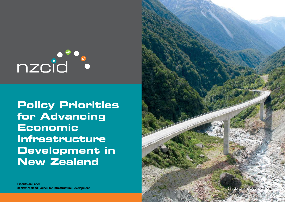

**Policy Priorities for Advancing Economic Infrastructure Development in New Zealand**

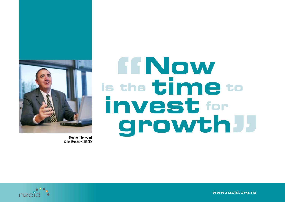

Stephen Selwood Chief Executive NZCID

# FFNow is the time to invest for growth J



**www.nzcid.org.nz**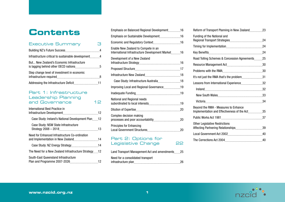# **Contents**

# Executive Summary 3 Building NZ's Future Success 4 Infrastructure critical to sustainable development 4 But... New Zealand's Economic Infrastructure is lagging behind other OECD nations **5** 5 Step change level of investment in economic infrastructure required 8 Addressing the Infrastructure Deficit 11

#### Part 1: Infrastructure Leadership Planning and Governance 12

| International Best Practice in                       |  |
|------------------------------------------------------|--|
| Case Study: Ireland's National Development Plan12    |  |
| Case Study: NSW State Infrastructure                 |  |
| Need for Enhanced Infrastructure Co-ordination       |  |
|                                                      |  |
| The Need for a New Zealand Infrastructure Strategy12 |  |
| South-East Queensland Infrastructure                 |  |

| Emphasis on Sustainable Development16<br>Enable New Zealand to Compete in an<br>International Infrastructure Development Market16<br>Development of a New Zealand<br>Case Study: Infrastructure Australia18<br>Improving Local and Regional Governance19<br>National and Regional needs<br>Complex decision making<br><b>Principles for Enhancing</b><br>Part 2: Options for<br>Legislative Change<br>Land Transport Management Act and amendments25 | Emphasis on Balanced Regional Development16 |    |
|------------------------------------------------------------------------------------------------------------------------------------------------------------------------------------------------------------------------------------------------------------------------------------------------------------------------------------------------------------------------------------------------------------------------------------------------------|---------------------------------------------|----|
|                                                                                                                                                                                                                                                                                                                                                                                                                                                      |                                             |    |
|                                                                                                                                                                                                                                                                                                                                                                                                                                                      |                                             |    |
|                                                                                                                                                                                                                                                                                                                                                                                                                                                      |                                             |    |
|                                                                                                                                                                                                                                                                                                                                                                                                                                                      |                                             |    |
|                                                                                                                                                                                                                                                                                                                                                                                                                                                      |                                             |    |
|                                                                                                                                                                                                                                                                                                                                                                                                                                                      |                                             |    |
|                                                                                                                                                                                                                                                                                                                                                                                                                                                      |                                             |    |
|                                                                                                                                                                                                                                                                                                                                                                                                                                                      |                                             |    |
|                                                                                                                                                                                                                                                                                                                                                                                                                                                      |                                             |    |
|                                                                                                                                                                                                                                                                                                                                                                                                                                                      |                                             |    |
|                                                                                                                                                                                                                                                                                                                                                                                                                                                      |                                             |    |
|                                                                                                                                                                                                                                                                                                                                                                                                                                                      |                                             |    |
|                                                                                                                                                                                                                                                                                                                                                                                                                                                      |                                             |    |
|                                                                                                                                                                                                                                                                                                                                                                                                                                                      |                                             | 22 |
|                                                                                                                                                                                                                                                                                                                                                                                                                                                      |                                             |    |
|                                                                                                                                                                                                                                                                                                                                                                                                                                                      | Need for a consolidated transport           |    |

| Funding of the National and                                                           |  |
|---------------------------------------------------------------------------------------|--|
|                                                                                       |  |
|                                                                                       |  |
| Road Tolling Schemes & Concession Agreements 25                                       |  |
|                                                                                       |  |
|                                                                                       |  |
| It's not just the RMA that's the problem31                                            |  |
| Lessons from International Experience32                                               |  |
|                                                                                       |  |
|                                                                                       |  |
|                                                                                       |  |
| Beyond the RMA - Measures to Enhance<br>Implementation and Effectiveness of the Act35 |  |
|                                                                                       |  |
| <b>Other Legislative Restrictions</b>                                                 |  |
|                                                                                       |  |
|                                                                                       |  |



infrastructure plan 26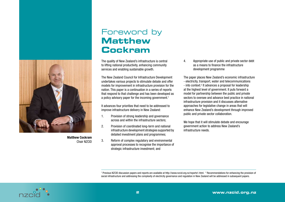

Matthew Cockram Chair NZCID

# Foreword by **Matthew Cockram**

The quality of New Zealand's infrastructure is central to lifting national productivity, enhancing community services and enabling sustainable growth.

The New Zealand Council for Infrastructure Development undertakes various projects to stimulate debate and offer models for improvement in infrastructure provision for the nation. This paper is a continuation in a series of reports that respond to that challenge and has been developed as a policy advisory paper for the incoming government.<sup>1</sup>

It advances four priorities that need to be addressed to improve infrastructure delivery in New Zealand:

- 1. Provision of strong leadership and governance across and within the infrastructure sectors;
- 2. Provision of coordinated long-term and national infrastructure development strategies supported by detailed investment plans and programmes;
- 3. Reform of complex regulatory and environmental approval processes to recognise the importance of strategic infrastructure investment; and

4. Appropriate use of public and private sector debt as a means to finance the infrastructure development programme

The paper places New Zealand's economic infrastructure - electricity, transport, water and telecommunications - into context.<sup>2</sup> It advances a proposal for leadership at the highest level of government. It puts forward a model for partnership between the public and private sectors to oversee and advance best practice in national infrastructure provision and it discusses alternative approaches for legislative change in areas that will enhance New Zealand's development through improved public and private sector collaboration.

We hope that it will stimulate debate and encourage government action to address New Zealand's infrastructure needs.

<sup>1</sup> Previous NZCID discussion papers and reports are available at http://www.nzcid.org.nz/reports1.html. <sup>2</sup> Recommendations for enhancing the provision of social infrastructure and addressing the complexity of electricity governance and regulation in New Zealand will be addressed in subsequent papers.

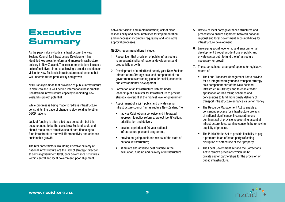# **Executive Summary**

As the peak industry body in infrastructure, the New Zealand Council for Infrastructure Development has identified key areas to reform and improve infrastructure delivery in New Zealand. These recommendations include a suite of initiatives aimed at achieving a broader and deeper vision for New Zealand's infrastructure requirements that will underpin future productivity and growth.

NZCID analysis finds that provision of public infrastructure in New Zealand is well behind international best practise. Constrained infrastructure capacity is inhibiting New Zealand's growth potential.

While progress is being made to redress infrastructure constraints, the pace of change is slow relative to other OECD nations.

Lack of funding is often cited as a constraint but this does not need to be the case. New Zealand could and should make more effective use of debt financing to fund infrastructure that will lift productivity and enhance sustainable growth.

The real constraints surrounding effective delivery of national infrastructure are the lack of strategic direction at central government level; poor governance structures within central and local government; poor alignment

between "vision" and implementation; lack of clear responsibility and accountabilities for implementation; and unnecessarily complex regulatory and legislative approval processes.

NZCID's recommendations include:

- 1. Recognition that provision of public infrastructure is an essential pillar of national development and productivity growth
- 2. Development of a prioritised twenty year New Zealand Infrastructure Strategy as a lead component of the government's overarching plans for social, economic and environmental development
- 3. Formation of an Infrastructure Cabinet under leadership of a Minister for Infrastructure to provide strategic oversight at the highest level of government
- 4. Appointment of a joint public and private sector infrastructure council "Infrastructure New Zealand" to:
	- advise Cabinet on a cohesive and integrated approach to policy reforms, project identification, prioritisation and delivery
	- • develop a prioritised 20 year national infrastructure plan and programme,
	- provide on-going audit and review of the state of national infrastructure;
	- stimulate and advance best practise in the evaluation, funding and delivery of infrastructure
- 5. Review of local body governance structures and processes to ensure alignment between national, regional and local government accountabilities for infrastructure development
- 6. Leveraging social, economic and environmental development through prudent use of public and private sector debt to fund the infrastructure necessary for growth
- 7. The paper sets out a range of options for legislative reform of:
	- • The Land Transport Management Act to provide for an integrated fully funded transport strategy as a component part of the New Zealand Infrastructure Strategy and to enable wider application of road tolling schemes and concessions to fund more timely delivery of transport infrastructure enhance value for money
	- The Resource Management Act to enable a consenting process for infrastructure projects of national significance, incorporating one dominant set of provisions governing essential infrastructure, to streamline consents by removing duplicity of process.
	- The Public Works Act to provide flexibility to pay a premium to an affected party reflecting disruption of settled use of their property
	- The Local Government Act and the Corrections Act to remove provisions which inhibit private sector partnerships for the provision of public infrastructure.

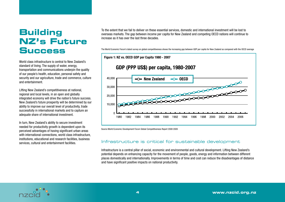# **Building NZ's Future Success**

World class infrastructure is central to New Zealand's standard of living. The supply of water, energy, transportation and communications underpin the quality of our people's health, education, personal safety and security and our agriculture, trade and commerce, culture and entertainment.

Lifting New Zealand's competitiveness at national, regional and local levels, in an open and globally integrated economy will drive the nation's future success. New Zealand's future prosperity will be determined by our ability to improve our overall level of productivity, trade successfully in international markets and to capture an adequate share of international investment.

In turn, New Zealand's ability to secure investment needed for productivity growth is dependent upon its perceived advantages of having significant urban areas with international connections, world class infrastructure, institutions, educational and research facilities, business services, cultural and entertainment facilities.

To the extent that we fail to deliver on these essential services, domestic and international investment will be lost to overseas markets. The gap between income per capita for New Zealand and competing OECD nations will continue to increase as it has over the last three decades.

The World Economic Forum's latest survey on global competitiveness shows the increasing gap between GDP per capita for New Zealand as compared with the OECD average



Source World Economic Development Forum Global Competitiveness Report 2008 2009

## Infrastructure is critical for sustainable development

Infrastructure is a central pillar of social, economic and environmental and cultural development. Lifting New Zealand's potential depends on enhancing capacity for the movement of people, goods, energy and information between different places domestically and internationally. Improvements in terms of time and cost can reduce the disadvantages of distance and have significant positive impacts on national productivity.

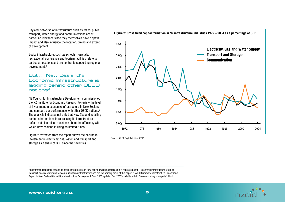Physical networks of infrastructure such as roads, public transport, water, energy and communications are of particular relevance since they themselves have a spatial impact and also influence the location, timing and extent of development.

Social infrastructure, such as schools, hospitals, recreational, conference and tourism facilities relate to particular locations and are central to supporting regional development.3

#### But... New Zealand's Economic Infrastructure is lagging behind other OECD nations4

NZ Council for Infrastructure Development commissioned the NZ Institute for Economic Research to review the level of investment in economic infrastructure in New Zealand and compare our performance with other OECD nations.<sup>5</sup> The analysis indicates not only that New Zealand is falling behind other nations in redressing its infrastructure deficit, but also raises questions about the efficiency with which New Zealand is using its limited funds.

Figure 2 extracted from the report shows the decline in investment in electricity, gas, water, and transport and storage as a share of GDP since the seventies.



Sources NZIER, Dept Statistics, NZCID

3 Recommendations for advancing social infrastructure in New Zealand will be addressed in a separate paper. 4 Economic infrastructure refers to transport, energy, water and telecommunications infrastructure and are the primary focus of this paper. <sup>5</sup> NZIER Summary Infrastructure Benchmarks, Report to New Zealand Council for Infrastructure Development, Sept 2005 updated Dec 2007 available at http://www.nzcid.org.nz/reports1.html.

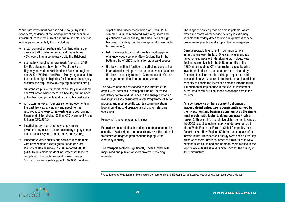While past investment has enabled us to get by in the short term, evidence of the inadequacy of our economic infrastructure to meet current and future societal needs is now apparent on a daily basis including:

- urban congestion (particularly Auckland where the average traffic delay per minute at peaks times is 40% worse than a comparative city like Brisbane)
- • poor safety margins on rural roads (the latest 2008 KiwiRap statistics show that 40% of the State Highway network in Northland and Auckland regions and 36% of Waikato and Bay of Plenty regions fall into the medium high to high risk for fatal or serious injury crashes see http://www.kiwirap.org.nz/results.html),
- substandard public transport (particularly in Auckland and Wellington where there is a backlog on unfunded public transport projects and or capacity constraints;
- run down railways; ("Despite some improvements in the past few years, a significant investment is required just to keep some existing services running". Finance Minister Michael Cullen NZ Government Press Release 22/7/2008),
- insufficient dry year electricity supply margin (evidenced by risks to secure electricity supply in four out of the last 8 years, 2001, 2003, 2006,2008),
- inadequate water quality and services incompatible with New Zealand's clean green image (the last Ministry of Health survey in 2005 reported 980,000 (24%) New Zealanders drinking-water that failed to comply with the bacteriological Drinking Water Standards or were self-supplied: 102,000 monitored

supplies had unacceptable levels of E. coli. 2007 summer - 40% of monitored swimming spots had questionable water quality; 10% had levels of high bacteria, indicating that they are generally unsuitable for swimming);

- below average broadband speeds inhibiting growth of a knowledge economy (New Zealand lies in the bottom third of OECD nations for broadband speeds);
- • the lack of national facilities of sufficient scale to host international sporting and conference events ((such as the lack of capacity to host a Commonwealth Games or major international conference events)

The government has responded to the infrastructure deficit with increases in transport funding, increased regulatory control and influence in the energy sector, an investigative and consultative Water Programme of Action process, and most recently with telecommunications loop unbundling and operational split up of Telecoms operations.

However, the pace of change is slow.

Regulatory uncertainties, including climate change policy, security of water rights, and uncertainty over the national transmission upgrade path continue to plague the electricity industry.

The transport sector is significantly under funded, with major road and public transport projects remaining unfunded.

The range of service provision across potable, waste water and storm water service delivery is extremely variable with widely differing levels in quality of service, procurement practice and supply chain management.

Despite sporadic investment in communications infrastructure over the last 10 years, investment has failed to keep pace with developing technology. New Zealand currently sits in the bottom quartile of the OECD in terms of its ICT infrastructure capacity. While investment in fibre to the node has been initiated by Telecom, it is clear that the existing copper loop and associated network access infrastructure has insufficient capacity to handle the increased demand into the future. A fundamental step change in the level of investment is required to roll out high speed broadband across the country.

As a consequence of these apparent deficiencies, inadequate infrastructure is consistently ranked by the investment and business community as the single most problematic factor to doing business.<sup>6</sup> While ranked 24th overall for its relative global competitiveness, the 2008 executive opinion survey undertaken as part of the World Economic Forum's Global Competitiveness Report ranked New Zealand 50th for the adequacy of its infrastructure. Transport and energy were seen as the key areas of concern. Other countries of similar size to New Zealand such as Finland and Denmark were ranked in the top 10, while Australia was ranked 25th for the quality of its infrastructure.

6 As evidenced by World Economic Forum Global Competitiveness and IMD World Competitiveness reports, 2004, 2005, 2006, 2007 and 2008.

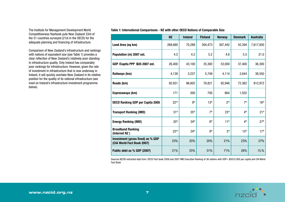The Institute for Management Development World Competitiveness Yearbook puts New Zealand 33rd of the 51 countries surveyed (21st in the OECD) for the adequate planning and financing of infrastructure.

Comparison of New Zealand's infrastructure and rankings with nations of equivalent size (see Table 1) provides a clear reflection of New Zealand's relatively poor standing in infrastructure quality. Only Ireland has comparably poor rankings for infrastructure. However, given the rate of investment in infrastructure that is now underway in Ireland, it will quickly overtake New Zealand in its relative position for the quality of its national infrastructure (see inset on Ireland's infrastructure investment programme below).

Table 1: International Comparisons - NZ with other OECD Nations of Comparable Size

|                                                                 | <b>NZ</b>        | <b>Ireland</b>   | <b>Finland</b>   | <b>Norway</b>    | <b>Denmark</b>   | <b>Australia</b> |
|-----------------------------------------------------------------|------------------|------------------|------------------|------------------|------------------|------------------|
| Land Area (sq km)                                               | 268,680          | 70,289           | 304,473          | 307,442          | 42,394           | 7,617,930        |
| Population (m) 2007 est.                                        | 4.2              | 4.2              | 5.2              | 4.6              | 5.5              | 21.0             |
| GDP / Capita PPP \$US 2007 est.                                 | 26,400           | 43,100           | 35,300           | 53,000           | 37,400           | 36,300           |
| Railways (km)                                                   | 4,128            | 3,237            | 5,749            | 4,114            | 2,644            | 38,550           |
| Roads (km)                                                      | 92,931           | 96,602           | 78,821           | 92,946           | 72,362           | 812,972          |
| Expressways (km)                                                | 171              | 200              | 700              | 664              | 1,032            |                  |
| <b>OECD Ranking GDP per Capita 2005</b>                         | 22 <sup>nd</sup> | gth              | 13 <sup>th</sup> | 2 <sub>nd</sub>  | 7 <sup>th</sup>  | 16 <sup>th</sup> |
| <b>Transport Ranking (IMD)</b>                                  | 31 <sup>st</sup> | 35 <sup>th</sup> | 7 <sup>th</sup>  | 23 <sup>rd</sup> | 4 <sup>th</sup>  | 21 <sup>st</sup> |
| <b>Energy Ranking (IMD)</b>                                     | 35 <sup>th</sup> | 34 <sup>th</sup> | 8 <sup>th</sup>  | 11 <sup>th</sup> | 4 <sup>th</sup>  | 27 <sup>th</sup> |
| <b>Broadband Ranking</b><br>(Internet NZ)                       | 22 <sup>nd</sup> | 24 <sup>th</sup> | gth              | 3 <sup>rd</sup>  | 15 <sup>th</sup> | 17 <sup>th</sup> |
| Investment (gross fixed) as % GDP<br>(CIA World Fact Book 2007) | 23%              | 25%              | 20%              | 21%              | 23%              | 27%              |
| Public debt as % GDP (2007)                                     | 21%              | 25%              | 31%              | 71%              | 26%              | 15.%             |

Sources NZCID extracted data from: OECD Fact book 2008 and 2007 IMD Executive Ranking of 36 nations with GDP> \$US10,000 per capita and CIA World Fact Book

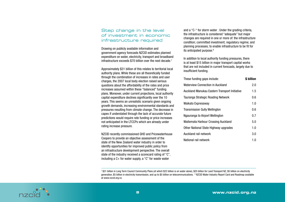## Step change in the level of investment in economic infrastructure required

Drawing on publicly available information and government agency forecasts NZCID estimates planned expenditure on water, electricity, transport and broadband infrastructure exceeds \$70 billion over the next decade.7

Approximately \$31 billion of this relates to territorial local authority plans. While these are all theoretically funded through the combination of increases in rates and user charges, the 2007 local body election raised serious questions about the affordability of the rates and price increases assumed within these "balanced" funding plans. Moreover, under current projections, local authority capital expenditure declines significantly over the 10 years. This seems an unrealistic scenario given ongoing growth demands, increasing environmental standards and pressures resulting from climate change. The decrease in capex if understated through the lack of accurate future predictions would require rate funding or price increases not anticipated in the LTCCPs which are already under rating increase pressure.

NZCID recently commissioned GHD and Pricewaterhouse Coopers to provide an objective assessment of the state of the New Zealand water industry in order to identify opportunities for improved public policy from an infrastructure development perspective. The overall state of the industry received a scorecard rating of "C", including a C+ for water supply, a "C" for waste water

and a "C-" for storm water . Under the grading criteria, the infrastructure is considered "adequate" but major changes are required in one or more of: the infrastructure condition; committed investment; regulatory regime; and planning processes; to enable infrastructure to be fit for its anticipated purpose.<sup>8</sup>

In addition to local authority funding pressures, there is at least \$15 billion in major transport capital works that are not included in current forecasts, largely due to insufficient funding.

| These funding gaps include:                   | \$ billion |
|-----------------------------------------------|------------|
| Waterview Connection in Auckland              | 2.0        |
| Auckland Manukau Eastern Transport Initiative | 1.5        |
| Tauranga Strategic Roading Network            | 0.6        |
| Waikato Expressway                            | 1.0        |
| Transmission Gully Wellington                 | 0.6        |
| Ngauranga to Airport Wellington               | 0.7        |
| Waitemata Harbour Crossing Auckland           | 5.0        |
| Other National State Highway upgrades         | 1.0        |
| Auckland rail network                         | 3.0        |
| National rail network                         | 1.0        |

<sup>7</sup> \$31 billion in Long Term Council Community Plans (of which \$22 billion is on water alone), \$25 billion for Land Transport NZ, \$5 billion on electricity generation, \$5 billion in electricity transmission, and up to \$5 billion on telecommunications. <sup>8</sup> NZCID Water Industry Report Card and Roadmap available at www.nzcid.org.nz.

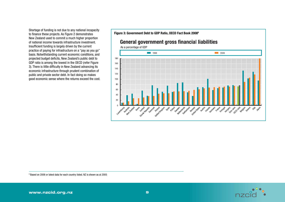Shortage of funding is not due to any national incapacity to finance these projects. As Figure 2 demonstrates New Zealand used to commit a much higher proportion of national income towards infrastructure investment. Insufficient funding is largely driven by the current practice of paying for infrastructure on a "pay as you go" basis. Notwithstanding current economic conditions, and projected budget deficits, New Zealand's public debt to GDP ratio is among the lowest in the OECD (refer Figure 3). There is little difficulty in New Zealand advancing its economic infrastructure through prudent combination of public and private sector debt. In fact doing so makes good economic sense where the returns exceed the cost.

Figure 3: Government Debt to GDP Ratio, OECD Fact Book 20089

# **General government gross financial liabilities**



9 Based on 2006 or latest data for each country listed. NZ is shown as at 2005

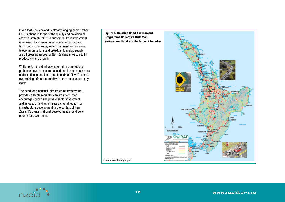Given that New Zealand is already lagging behind other OECD nations in terms of the quality and provision of essential infrastructure, a substantial lift in investment is required. Investment in economic infrastructure from roads to railways, water treatment and services, telecommunications and broadband, energy supply are all pressing issues for New Zealand if we are to lift productivity and growth.

While sector based initiatives to redress immediate problems have been commenced and in some cases are under action, no national plan to address New Zealand's overarching infrastructure development needs currently exists.

The need for a national infrastructure strategy that provides a stable regulatory environment, that encourages public and private sector investment and innovation and which sets a clear direction for infrastructure development in the context of New Zealand's overall national development should be a priority for government.



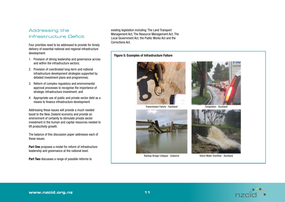# Addressing the Infrastructure Deficit

Four priorities need to be addressed to provide for timely delivery of essential national and regional infrastructure development:

- 1. Provision of strong leadership and governance across and within the infrastructure sectors;
- 2. Provision of coordinated long-term and national infrastructure development strategies supported by detailed investment plans and programmes;
- 3. Reform of complex regulatory and environmental approval processes to recognise the importance of strategic infrastructure investment; and
- 4. Appropriate use of public and private sector debt as a means to finance infrastructure development.

Addressing these issues will provide a much needed boost to the New Zealand economy and provide an environment of certainty to stimulate private sector investment in the human and capital resources needed to lift productivity growth.

The balance of this discussion paper addresses each of these issues.

Part One proposes a model for reform of infrastructure leadership and governance at the national level.

Part Two discusses a range of possible reforms to

existing legislation including: The Land Transport Management Act; The Resource Management Act; The Local Government Act; the Public Works Act and the Corrections Act.

#### Figure 5: Examples of Infrastructure Failure







Railway Bridge Collapse - Gisborne



Congestion - Auckland



Storm Water Overflow - Auckland

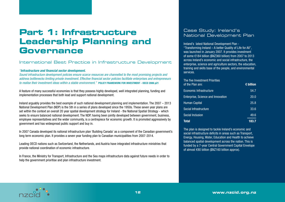# **Part 1: Infrastructure Leadership Planning and Governance**

## International Best Practice in Infrastructure Development

#### *"Infrastructure and financial sector development.*

*Sound infrastructure development policies ensure scarce resources are channelled to the most promising projects and address bottlenecks limiting private investment. Effective financial sector policies facilitate enterprises and entrepreneurs to realise their investment ideas within a stable environment."* POLICY FRAMEWORK FOR INVESTMENT - OECD 2006 p21

A feature of many successful economies is that they possess highly developed, well integrated planning, funding and implementation processes that both lead and support national development.

Ireland arguably provides the best example of such national development planning and implementation. The 2007 – 2013 National Development Plan (NDP) is the 5th in a series of plans developed since the 1950s. These seven year plans are set within the context an overall 20 year spatial development strategy for Ireland - the National Spatial Strategy - which seeks to ensure balanced national development. The NDP, having been jointly developed between government, business, employee representatives and the wider community, is a centrepiece for economic growth. It is promoted aggressively by government and has widespread public support and buy in.

In 2007 Canada developed its national infrastructure plan 'Building Canada' as a component of the Canadian government's long term economic plan. It provides a seven year funding plan to Canadian municipalities from 2007-2014.

Leading OECD nations such as Switzerland, the Netherlands, and Austria have integrated infrastructure ministries that provide national coordination of economic infrastructure.

In France, the Ministry for Transport, Infrastructure and the Sea maps infrastructure data against future needs in order to help the government prioritise and plan infrastructure investment.

# Case Study: Ireland's National Development Plan

Ireland's latest National Development Plan - "Transforming Ireland – A better Quality of Life for All", was launched in January 2007. It provides investment of some €184 billion (\$NZ360 billion) from 2007 to 2013 across Ireland's economic and social infrastructure, the enterprise, science and agriculture sectors, the education, training and skills base of the people, and environmental services.

| The five Investment Priorities<br>of the Plan are: | $\epsilon$ billion |
|----------------------------------------------------|--------------------|
| Economic Infrastructure                            | 54.7               |
| Enterprise, Science and Innovation                 | 20.0               |
| Human Capital                                      | 25.8               |
| Social Infrastructure                              | 33.6               |
| Social Inclusion                                   | 49.6               |
| Total                                              | 183                |

The plan is designed to tackle Ireland's economic and social infrastructure deficits in areas such as Transport, Energy, Housing, Water, Education and Health to achieve balanced spatial development across the nation. This is funded by a 7-year Central Government Capital Envelope of almost €80 billion (\$NZ160 billion approx).

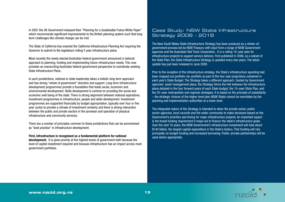In 2007 the UK Government released their "Planning for a Sustainable Future White Paper" which recommends significant improvements to the British planning system such that long term challenges like climate change can be met.

The State of California has enacted the California Infrastructure Planning Act requiring the Governor to submit to the legislature rolling 5 year infrastructure plans.

Most recently the newly elected Australian federal government announced a national approach to planning, funding and implementing future infrastructure needs. This now provides an overarching Australian federal government perspective to coordinate existing State Infrastructure Plans.

In such jurisdictions, national or state leadership takes a holistic long term approach and has strong "whole of government" direction and support. Long term infrastructure development programmes provide a foundation that leads social, economic and environmental development. Skills development is centred on providing the social and economic well being of the state. There is strong alignment between national aspirations, investment programmes in infrastructure, people and skills development. Investment programmes are supported financially by budget appropriation, typically over four or five year cycles to provide a climate of investment certainty and there is strong interaction between the public and private sectors in the provision and operation of physical infrastructure and community services.

There are a number of principles common to these jurisdictions that can be summarised as "best practise" in infrastructure development.

#### First, infrastructure is recognised as a fundamental platform for national

development. It is given priority at the highest levels of government both because the level of capital investment required and because infrastructure has an impact across most government portfolios.

# Case Study: NSW State Infrastructure Strategy 2008 – 2018

The New South Wales State Infrastructure Strategy has been produced as a whole–of– government process led by NSW Treasury with input from a range of NSW Government agencies and the Australian Rail Track Corporation. It is a rolling 10–year plan for infrastructure projects to support service delivery. First published in 2006, as a subset of the State Plan, the State Infrastructure Strategy is updated every two years. The latest update has just been released in June 2008.

Prior to the inception of the infrastructure strategy, the State's infrastructure spending had been mapped out portfolio–by–portfolio as part of the four year projections contained in each year's State Budget. The Strategy takes a different approach. Guided by Government agencies' asset management plans, the Strategy forms the link between the infrastructure plans detailed in the four forward years of each State budget, the 10–year State Plan, and the 25–year metropolitan and regional strategies. It is based on the principle of subsidiarity – the strategic choices of the higher level plan (NSW State) cannot be overridden by the planning and implementation authorities at a lower level.

The integrated nature of the Strategy is intended to allow the private sector, public sector agencies, local councils and the wider community to make decisions based on the Government's priorities and timing for major infrastructure projects. An important aspect is the broad funding requirement it maps out to finance the state's infrastructure goals. Over the next 10 years, the NSW Government's infrastructure investment will total about \$140 billion, the largest capital expenditure in the State's history. That funding will rely principally on budget funding and increased borrowing. Public–private partnerships will be used where appropriate.

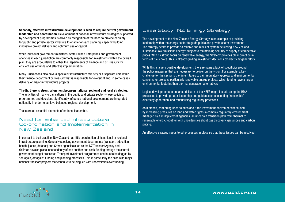Secondly, effective infrastructure development is seen to require central government leadership and coordination. Development of national infrastructure strategies supported by development programmes is driven by recognition of the need to provide certainty for public and private sector investors to enable forward planning, capacity building, innovative project delivery and optimum use of capital.

While individual government ministries, State Owned Enterprises and government agencies in each jurisdiction are commonly responsible for investments within the overall plan, they are accountable to either the Departments of Finance and or Treasury for efficient use of funds and effective implementation.

Many jurisdictions also have a specialist infrastructure Ministry or a separate unit within their finance department or Treasury that is responsible for oversight and, in some cases delivery, of major infrastructure projects.

Thirdly, there is strong alignment between national, regional and local strategies. The activities of many organisations in the public and private sector whose policies, programmes and decisions significantly influence national development are integrated nationally in order to achieve balanced regional development.

These are all essential elements of national leadership.

#### Need for Enhanced Infrastructure Co-ordination and Implementation in New Zealand

In contrast to best practice, New Zealand has little coordination of its national or regional infrastructure planning. Generally speaking government departments (transport, education, health, justice, defence) and Crown agencies such as the NZ Transport Agency and OnTrack develop plans independently of one another and seek funding through the central government budget processes. Transport investment programmes continue to be dogged by "on again, off again" funding and planning processes. This is particularly the case with major national transport projects that continue to be plagued with uncertainties over funding.

# Case Study: NZ Energy Strategy

The development of the New Zealand Energy Strategy is an example of providing leadership within the energy sector to guide public and private sector investment. The strategy seeks to provide "a reliable and resilient system delivering New Zealand sustainable low emissions energy" subject to maintaining security of supply at competitive prices. With its strong focus on renewable energy, the Strategy provides clear direction in terms of fuel choice. This is already guiding investment decisions by electricity generators.

While this is a very positive development, there remains a lack of specificity around the policy measures that are necessary to deliver on the vision..For example, a key challenge for the sector is the time it takes to gain regulatory approval and environmental consents for projects, particularly renewable energy projects which tend to have a larger environmental footprint than thermal generation alternatives.

Logical developments to enhance delivery of the NZES might include using the RMA processes to provide greater leadership and guidance on consenting "renewable" electricity generation, and rationalising regulatory processes.

As it stands, continuing uncertainties about the investment horizon persist caused by increasing pressures on land and water rights; a complex regulatory environment managed by a multiplicity of agencies; an uncertain transition path from thermal to renewable energy; together with uncertainties about gas discovery, gas prices and carbon pricing.

An effective strategy needs to set processes in place so that these issues can be resolved.

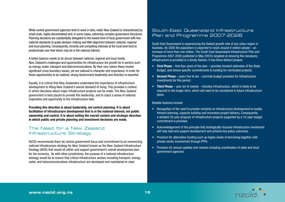While central government agencies tend to work in silos, wider New Zealand is characterised by small scale, highly decentralised and, in some cases, extremely complex governance structures. Planning decisions are substantially delegated to the lowest level of local government with few national standards to guide decision making and little alignment between national, regional and local planning. Consequently, minority and competing interests at the local level tend to predominate over that which may be in the national interest.

A better balance needs to be struck between national, regional and local needs. New Zealand's challenges and opportunities for infrastructure led growth lie in sectors such as energy, water, transport and telecommunications. By their very nature these involve significant cross boundary issues, yet are national in character and importance. In order for these opportunities to be realised, strong Government leadership and direction is essential.

Equally, it is critical that New Zealanders understand the importance of infrastructure development to lifting New Zealand's overall standard of living. This provides a context in which decisions about major infrastructure projects can be made. The New Zealand government is best placed to provide this leadership, and to inject a sense of national imperative and opportunity to the infrastructure task.

Providing this direction is about leadership, not central planning. It is about facilitation of infrastructure development that is in the national interest, not public ownership and control. It is about setting the overall context and strategic direction in which public and private planning and investment decisions are made.

# The Need for a New Zealand Infrastructure Strategy

NZCID recommends there be central government focus and commitment to an overarching national infrastructure strategy for New Zealand known as the New Zealand Infrastructure Strategy (NZIS) that would sit within and support government's overall development plan for the economy. As with other jurisdictions, the purpose of a national infrastructure strategy would be to ensure that critical infrastructure sectors including transport, energy, water, and telecommunications infrastructure *are developed and maintained to raise*

#### South-East Queensland Infrastructure Plan and Programme 2007-2026

South East Queensland is experiencing the fastest growth rate of any urban region in Australia. By 2026 the population is expected to reach around 4 million people – an increase of more than one million. The South-East Queensland Infrastructure Plan and Programme 2007-2026 published in May 2007is targeted at ensuring the necessary infrastructure is provided in a timely fashion. It has three distinct phases:

- First Phase first four years of the plan provides forward estimates of the State Budget, and shows specific commitments to funding for nominated projects;
- Second Phase years five to ten commits budget provision for infrastructure investments for this period;
- Third Phase year ten to twenty includes infrastructure, which is likely to be required in the longer term, which will need to be considered in future infrastructure plans.

Notable features include:

- Recognition of the need to provide certainty on infrastructure development to enable forward planning, capacity building and innovative project delivery. Consequently a detailed 20-year program of infrastructure projects supported by a 10-year budget commitment is provided.
- Acknowledgement of the principle that strategically-focused infrastructure investment will help lead and support development and achieve key policy outcomes.
- Provision for alternative funding such as higher levels of borrowing together with private sector involvement through PPPs.
- Provision for annual updates and reviews including coordination of state and local government agencies

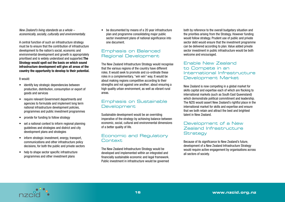*New Zealand's living standards as a whole – economically, socially, culturally and environmentally.*

A central function of such an infrastructure strategy must be to ensure that the contribution of infrastructure development to the nation's social, economic and environmental development and growth is appropriately prioritised and is widely understood and supported.The Strategy would spell out the basis on which sound infrastructure development will give all areas of the country the opportunity to develop to their potential.

#### It would:

- identify key strategic dependencies between production, distribution, consumption or export of goods and services
- require relevant Government departments and agencies to formulate and implement long term national infrastructure development policies, programmes and public investment programmes
- provide for funding to follow strategy
- set a national context to inform regional planning guidelines and strategies and district and city development plans and strategies
- inform strategic investment, energy, transport, communications and other infrastructure policy decisions, for both the public and private sectors
- help to shape sector specific infrastructure programmes and other investment plans

be documented by means of a 20 year infrastructure plan and programme consolidating major public sector investment plans of national significance into one document.

# Emphasis on Balanced Regional Development

The New Zealand Infrastructure Strategy would recognise that the various regions of the country have different roles. It would seek to promote and co-ordinate these roles in a complementary, "win win" way. It would be about making regions competitive according to their strengths and not against one another; about ensuring a high quality urban environment, as well as vibrant rural areas.

# Emphasis on Sustainable **Development**

Sustainable development would be an overriding imperative of the strategy by achieving balance between economic, social, cultural and environmental dimensions of a better quality of life.

# Economic and Regulatory **Context**

The New Zealand Infrastructure Strategy would be developed and implemented within an integrated and financially sustainable economic and legal framework. Public investment in infrastructure would be governed

both by reference to the overall budgetary situation and the priorities arising from the Strategy. However funding would follow strategy. Prudent use of public and private sector debt would ensure that the investment programme can be delivered according to plan. Value added private sector investment in public infrastructure would be both welcome and encouraged.

## Enable New Zealand to Compete in an International Infrastructure Development Market

New Zealand is now competing in a global market for skills capital and expertise each of which are flocking to international markets (such as South East Queensland) which demonstrate political commitment and leadership. The NZIS would assert New Zealand's rightful place in the international market for skills and expertise and ensure that we both retain and attract the best and brightest talent in New Zealand.

# Development of a New Zealand Infrastructure **Strategy**

Because of its significance to New Zealand's future, development of a New Zealand Infrastructure Strategy would require active engagement by organisations across all sectors of society.

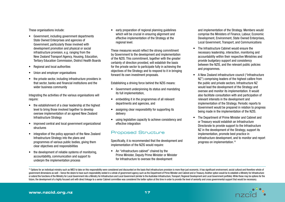These organisations include:

- • Government, including government departments State Owned Enterprises and agencies of Government, particularly those involved with development promotion and physical or social infrastructure provision, e.g. ranging from the New Zealand Transport Agency, Housing, Education, Tertiary Education Commission, District Health Boards
- Regional and local authorities
- Union and employer organisations
- the private sector, including infrastructure providers in that sector, banks and financial institutions and the wider business community

Integrating the activities of the various organisations will require:

- the establishment of a clear leadership at the highest level to bring those involved together to develop oversee implementation of an agreed New Zealand Infrastructure Strategy
- improved central and local government organizational structures
- integration of the policy approach of the New Zealand Infrastructure Strategy into the plans and programmes of various public bodies, giving them clear objectives and responsibilities
- the development of reliable systems of monitoring, accountability, communication and support to underpin the implementation process

early preparation of regional planning quidelines which will be crucial in ensuring alignment and effective implementation of the Strategy at the regional level.

These measures would reflect the strong commitment by Government to the development and implementation of the NZIS. This commitment, together with the greater certainty of direction provided, will establish the basis for the private sector to participate fully in achieving the objectives of the Strategy and to respond to it in bringing forward its own investment proposals.

Establishing a driving force behind the NZIS means:

- Government underpinning its status and mandating its full implementation,
- embedding it in the programmes of all relevant departments and agencies, and
- assigning clear responsibility for supporting its delivery
- using legislative capacity to achieve consistency and effective integration

## Proposed Structure

Specifically, it is recommended that the development and implementation of the NZIS would require:

• An "infrastructure cabinet" chaired by the Prime Minister, Deputy Prime Minister or Minister for Infrastructure to oversee the development

and implementation of the Strategy. Members would comprise the Ministers of Finance, Labour, Economic Development, Environment, State Owned Enterprises, Local Government, Transport, and Communications

- The Infrastructure Cabinet would ensure the necessary leadership, interaction, monitoring and accountability within their respective Ministries and provide budgetary support and consistency between the NZIS, and the relevant public policies and programmes.
- • A New Zealand infrastructure council ("Infrastructure NZ") comprising leaders of the highest calibre from the public and private sectors. Infrastructure NZ would lead the development of the Strategy and oversee and monitor its implementation. It would also facilitate consultation with and participation of relevant interests in the development and implementation of the Strategy. Periodic reports to Government would be prepared in relation to progress being made in the implementation of the NZIS.
- The Department of Prime Minister and Cabinet and or Treasury would establish an Infrastructure Directorate to provide support to the Infrastructure NZ in the development of the Strategy, support its implementation, promote best practice in infrastructure development, and to monitor and report progress on implementation.10

<sup>10</sup> Options for an individual ministry such as MED to take on this responsibility were considered and discounted on the basis that infrastructure provision is more than just economic, it has significant environment, socia government dimensions as well - hence the desire to have such responsibility vested in a whole of government agency such as the Department of Prime Minister and Cabinet and or Treasury. Another option would be to establish or extend the functions of the Ministry for Local Government into a Ministry for Infrastructure and Local Government (similar to the Australian Infrastructure, Transport, Regional Development and Local Government portfolio future, the development of a highly focused unit with direct linkage to a senior Cabinet committee was considered the better option at this time in order to provide the level of seniority and cross governmental support tha

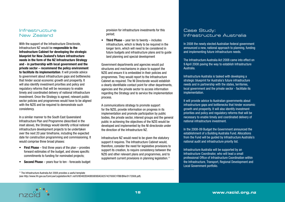#### Infrastructure New Zealand

With the support of the Infrastructure Directorate, Infrastructure NZ would be responsible to the Infrastructure Cabinet for developing the strategic blueprint for New Zealand's future infrastructure needs in the form of the NZ Infrastructure Strategy and - in partnership with local government and the private sector – recommend the policy environment to facilitate its implementation. It will provide advice to government about infrastructure gaps and bottlenecks that hinder social economic growth and prosperity. It will also identify investment priorities and policy and regulatory reforms that will be necessary to enable timely and coordinated delivery of national infrastructure investment. Once the Strategy is agreed, relevant public sector policies and programmes would have to be aligned with the NZIS and be required to demonstrate such consistency.

In a similar manner to the South East Queensland Infrastructure Plan and Programme (described in the inset above), the Strategy would identify critical national infrastructure development projects to be undertaken over the next 20 year timeframe, including the expected date for construction programming and commissioning. It would comprise three broad phases:

- First Phase first three years of the plan provides forward estimates of the budget, and shows specific commitments to funding for nominated projects;
- Second Phase years four to ten forecasts budget

provision for infrastructure investments for this period;

• Third Phase – year ten to twenty – includes infrastructure, which is likely to be required in the longer term, which will need to be considered in future budgets and infrastructure plans and to guide land planning and special development

Government departments and agencies would put structures and mechanisms in place to support the NZIS and ensure it is embedded in their policies and programmes. They would report to the Infrastructure Cabinet as required. The NI Directorate would establish a clearly identifiable contact point for other departments, agencies and the private sector to access information regarding the Strategy and to service the implementation process.

A communications strategy to promote support for the NZIS, provide information on progress in its implementation and promote participation by public bodies, the private sector, interest groups and the general public in achieving the objectives of the NZIS would be developed and implemented by the NI directorate under the direction of the Infrastructure NZ.

Infrastructure NZ would need to be given the statutory support it requires. The Infrastructure Cabinet would, therefore, consider the need for legislative provisions to support its creation, to require consistency between the NZIS and other relevant plans and programmes, and to supplement current provisions in planning legislation.<sup>11</sup>

# Case Study: Infrastructure Australia

In 2008 the newly elected Australian federal government announced a new, national approach to planning, funding and implementing future infrastructure needs.

The Infrastructure Australia Act 2008 came into effect on 9 April 2008 paving the way to establish Infrastructure Australia.

Infrastructure Australia is tasked with developing a strategic blueprint for Australia's future infrastructure needs and in partnership with the states, territories, local government and the private sector - facilitate its implementation.

It will provide advice to Australian governments about infrastructure gaps and bottlenecks that hinder economic growth and prosperity. It will also identify investment priorities and policy and regulatory reforms that will be necessary to enable timely and coordinated delivery of national infrastructure investment.

In the 2008-09 Budget the Government announced the establishment of a Building Australia Fund. Allocations from the Fund will be guided by Infrastructure Australia's national audit and infrastructure priority list.

Infrastructure Australia will be supported by an Infrastructure Coordinator, who will lead a small professional Office of Infrastructure Coordination within the Infrastructure, Transport, Regional Development and Local Government portfolio.

11 The Infrastructure Australia Act 2008 provides a useful template

(see http://www.frli.gov.au/ComLaw/Legislation/Act1.nsf/0/8D482E840B59D9DACA257427000C1FBB/\$file/0172008.pdf).

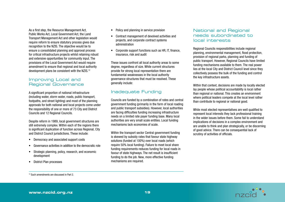As a first step, the Resource Management Act, Public Works Act, Local Government Act, the Land Transport Management Act and other legislation would require reform to ensure statutory process gives due recognition to the NZIS. The objective would be to ensure a consolidated planning and approval process for critical infrastructure projects whilst retaining robust and extensive opportunities for community input. The provisions of the Local Government Act would require amendment to ensure that regional and local authority development plans be consistent with the NZIS.12

## Improving Local and Regional Governance

A significant proportion of national infrastructure (including water, storm water, roads, public transport, footpaths, and street lighting) and most of the planning approvals for both national and local projects come under the responsibility of one or more of 73 City and District Councils and 12 Regional Councils.

Despite reform in 1989, local government structures are still extremely complex. Within each of the regions there is significant duplication of function across Regional, City and District Council jurisdictions. These include:

- • Democracy and associated support costs
- Governance activities in addition to the democratic role
- Strategic planning, policy, research, and economic development
- • District Plan processes
- Policy and planning in service provision
- • Contract management of devolved activities and projects, and corporate contract systems administration
- • Corporate support functions such as HR, IT, finance, insurance, risk and audit

These issues confront all local authority areas to some degree, regardless of size. While current structures provide for strong local representation there are fundamental weaknesses in the local authority governance structures that must be resolved. These generally include:

# Inadequate Funding

Councils are funded by a combination of rates and central government funding (primarily in the form of local roading and public transport subsidies). However, local authorities are facing difficulties funding increasing infrastructure needs on a limited rate payer funding base. Many local authorities are very small scale entities. Local funding mechanisms lack economies of scale.

Within the transport sector Central government funding is skewed by subsidy rates that favour state highway solutions (funded at 100%) over local roads (which require 50% local funding). Failure to meet local share funding requirements reduces funding for local roads in favour of state highways. The net result is insufficient funding to do the job. New, more effective funding mechanisms are required.

#### National and Regional needs subordinated to local interests

Regional Councils responsibilities include regional planning, environmental management, flood protection, provision of regional parks, planning and funding of public transport. However, Regional Councils have limited funding mechanisms available to them. The real power lies at the local City and District Council level since they collectively possess the bulk of the funding and control the key infrastructure assets.

Within that context, decisions are made by locally elected lay people whose political accountability is local rather than regional or national. This creates an environment where political leaders compete at the local level rather than contribute to regional or national good.

While most elected representatives are well qualified to represent local interests they lack professional training in the wider issues before them. Some fail to understand implications of decisions in a complex environment and are unable to think and plan strategically, or be discerning of good advice. There can be consequential lack of scrutiny of activities of officials.

<sup>12</sup> Such amendments are discussed in Part 2.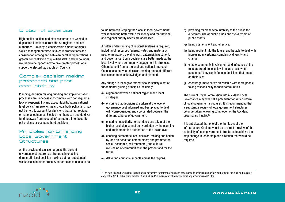# Dilution of Expertise

High quality political and staff resources are wasted in duplicated functions across the 84 regional and local authorities. Similarly, a considerable amount of highly skilled management time is taken in transactions and consultation among and between parallel organizations. A greater concentration of qualified staff in fewer councils would provide opportunity to give greater professional support to elected lay people on Councils.

#### Complex decision making processes and poor accountability

Planning, decision making, funding and implementation processes are unnecessarily complex with consequential lack of responsibility and accountability. Vague national level policy frameworks means local body politicians may not be held to account for decisions that affect regional or national outcomes. Elected members can and do divert funding away from needed infrastructure into favourite pet projects or postpone hard decisions.

# Principles for Enhancing Local Government **Structures**

As the previous discussion argues, the current governance structure has strengths in enabling democratic local decision making but has substantial weaknesses in other areas. A better balance needs to be

found between keeping the "local in local government" whilst ensuring better value for money and that national and regional priority needs are addressed.

A better understanding of regional systems is required, including of resources (energy, water, and materials), people (migration, travel to work patterns), investment, and governance. Some decisions are better made at the local level, where community engagement is strongest. Others benefit from a regional and national approach. Connections between decision-making made at different levels need to be acknowledged and planned.

Any change in local government should satisfy a set of fundamental guiding principles including:

- (a) alignment between national regional and local strategies
- (b) ensuring that decisions are taken at the level of governance best informed and best placed to deal with consequences, and coordinated between the different spheres of government.
- (c) ensuring subsidiarity so that decisions taken at the higher level plan cannot be overridden by the planning and implementation authorities at the lower level.
- (d) enabling democratic local decision-making and action by, and on behalf of, communities; and promote the social, economic, environmental, and cultural well-being of communities in the present and for the future

(e) delivering equitable impacts across the regions

- (f) providing for clear accountability to the public for outcomes, use of public funds and stewardship of public assets
- (g) being cost efficient and effective.
- (h) being resilient into the future, and be able to deal with increasing uncertainty, complexity, diversity and change.
- (i) enable community involvement and influence at the most appropriate local level i.e. at a level where people feel they can influence decisions that impact on their lives.
- (j) encourage more active citizenship with more people taking responsibility to their communities.

The current Royal Commission into Auckland Local Governance may well set a precedent for wider reform of local government structures. It is recommended that a substantial review of local government structures be undertaken following completion of the Auckland governance inquiry.13

It is anticipated that one of the first tasks of the Infrastructure Cabinet would be to direct a review of the suitability of local government structures to achieve the step change in leadership and direction that would be required.

<sup>13</sup> The New Zealand Council for Infrastructure advocates for reform of Auckland governance to establish one unitary authority for the Auckland region. A copy of the NZCID submission entitled "One Auckland" is available at http://www.nzcid.org.nz/submissions1.html.

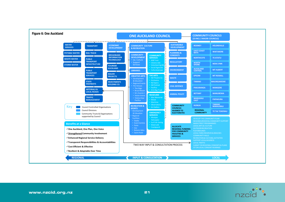

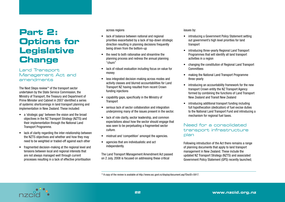# **Part 2: Options for Legislative Change**

## Land Transport Management Act and amendments

The Next Steps review<sup>14</sup> of the transport sector undertaken by the State Service Commission, the Ministry of Transport, the Treasury and Department of Prime Minister and Cabinet in 2007 identified a series of systemic shortcomings in land transport planning and implementation in New Zealand. These included:

- • a 'strategic gap' between the vision and the broad objectives in the NZ Transport Strategy (NZTS) and their implementation through the National Land Transport Programme.
- lack of clarity regarding the inter-relationship between the NZTS objectives and whether and how they may need to be weighted or traded-off against each other
- fragmented decision-making at the regional level and tensions between local and regional interests that are not always managed well through current processes resulting in a lack of effective prioritisation

#### across regions

- lack of balance between national and regional priorities exacerbated by a lack of top-down strategic direction resulting in planning decisions frequently being driven from the bottom-up
- the need to both rationalise and streamline the planning process and redress the annual planning "churn"
- lack of robust evaluation including focus on value for money
- less integrated decision-making across modes and activity classes and blurred accountabilities for Land Transport NZ having resulted from recent Crown funding injections
- capability gaps, specifically in the Ministry of **Transport**
- serious lack of sector collaboration and integration underpinning many of the issues present in the sector.
- lack of role clarity, sector leadership, and common expectations about how the sector should engage that was seen to be perpetuating a fragmented sector culture.
- mistrust and 'competition' amongst the agencies.
- agencies that are individualistic and act independently.

The Land Transport Management Amendment Act passed on 2 July, 2008 is focused on addressing these critical

#### issues by:

- introducing a Government Policy Statement setting out government's high level priorities for land transport
- introducing three-yearly Regional Land Transport Programmes that will identify all land transport activities in a region
- • changing the constitution of Regional Land Transport **Committees**
- making the National Land Transport Programme three-yearly
- introducing an accountability framework for the new transport Crown entity the NZ Transport Agency formed by combining the functions of Land Transport New Zealand and Transit New Zealand
- introducing additional transport funding including full hypothecation (dedication) of fuel excise duties to the National Land Transport Fund and introducing a mechanism for regional fuel taxes.

# Need for a consolidated transport infrastructure plan

Following introduction of the Act there remains a range of planning documents that apply to land transport management in New Zealand. These include the updated NZ Transport Strategy (NZTS) and associated Government Policy Statement (GPS) recently launched;

<sup>14</sup> A copy of the review is available at http://www.ssc.govt.nz/display/document.asp?DocID=5917.

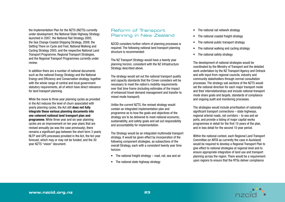the Implementation Plan for the NZTS (INZTS) currently under development; the National State Highway Strategy launched in 2007; the National Rail Strategy 2005; the Sea Change Coastal Shipping Strategy, 2008; the Getting There on Cycle and Foot, National Walking and Cycling Strategy 2005; and the respective National Land Transport Programme, Regional Transport Strategies, and the Regional Transport Programmes currently under review.

In addition there are a number of national documents such as the national Energy Strategy and the National Energy and Efficiency and Conservation strategy, together with the whole range of central and local government statutory requirements, all of which have direct relevance for land transport planning.

While the move to three year planning cycles as provided in the Act reduces the level of churn associated with yearly planning cycles, the Act still does not fully integrate these various planning documents into one coherent national land transport plan and programme. While three year and six year planning cycles are an improvement on ten year plans that are revised annually (as was the case previously), there remains a significant gap between the short term 3 yearly NLTP and GPS processes provided in the Act, the ten year forecast, which may or may not be funded, and the 30 year NZTS "vision" document.

## Reform of Transport Planning in New Zealand

NZCID considers further reform of planning processes is required. The following national land transport planning structure is recommended:

The NZ Transport Strategy would have a twenty year planning horizon, consistent with the NZ Infrastructure Strategy described above.

The strategy would set out the national transport quality and capacity standards that the Crown considers will be necessary to meet the nation's mobility requirements over that time frame (including estimates of the impact of enhanced travel demand management and transfer to mixed mode transport).

Unlike the current NZTS, the revised strategy would contain an integrated implementation plan and programme as to how the goals and objectives of the strategy are to be delivered to meet national economic, sustainability, and safety goals and set out responsibility and accountability for implementation.

The Strategy would be an integrated multimodal transport strategy. It would be given effect by incorporation of the following component strategies, as subsections of the overall Strategy, each with a consistent twenty year time horizon:

- The national freight strategy road, rail, sea and air
- The national state highway strategy
- The national rail network strategy
- The national coastal freight strategy
- The national public transport strategy
- The national walking and cycling strategy
- The national safety strategy

The development of national strategies would be coordinated by the Ministry of Transport and the detailed work undertaken by the NZ Transport Agency and Ontrack and with input from regional councils, industry and community stakeholders through normal consultation processes. The strategy sub sections of the NZTS would set the national direction for each major transport mode and their interrelationships and include national transport mode share goals and targets, standards of compliance and ongoing audit and monitoring processes.

The strategies would include prioritisation of nationally significant transport connections – state highways, regional arterial roads, rail corridors – to sea and air ports, and provide a listing of major capital works programmes in detail for the first 10 years of the plan, and in less detail for the second 10 year period.

Within the national context, each Regional Land Transport Committee (or ARTA as currently the case in Auckland) would be required to develop a Regional Transport Plan to give effect to national strategies at regional level and to ensure appropriate integration of land use and transport planning across the region. There would be a requirement upon regions to ensure that the RTSs deliver compliance

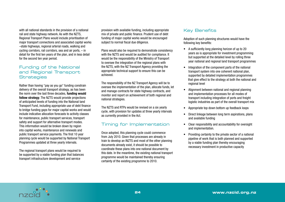with all national standards in the provision of a national rail and state highway network. As with the NZTS, Regional Transport Plans would include prioritisation of major transport connections and associated capital works –state highways, regional arterial roads, walking and cycling corridors, rail corridors, sea and air ports, – in detail for the first ten years of the plan, and in less detail for the second ten year period.

# Funding of the National and Regional Transport **Strategies**

Rather than having "pay as you go" funding constrain delivery of the overall transport strategy, as has been the norm over the last three decades, funding would follow strategy. The NZTS would provide projections of anticipated levels of funding into the National land Transport Fund, including appropriate use of debt finance to bridge funding gaps for major capital works and would include indicative allocation forecasts to activity classes for maintenance, public transport services, transport safety and support for alternative transport modes. This information would be broken down by region into capital works, maintenance and renewals and public transport service payments. The first 10 year planning cycle would be supported by National Transport Programmes updated at three yearly intervals.

The regional transport plans would be required to be supported by a viable funding plan that balances transport infrastructure development and service

provision with available funding, including appropriate mix of private and public finance. Prudent use of debt funding of major capital works would be encouraged subject to normal fiscal due diligence.

Plans would also be required to demonstrate consistency with the NZTS and would be audited for compliance. It would be the responsibility of the Ministry of Transport to oversee the integration of the regional plans with the NZTS, with the NZ Transport Agency providing the appropriate technical support to ensure this can be achieved.

The responsibility of the NZ Transport Agency will be to oversee the implementation of the plan, allocate funds, let and manage contracts for state highway contracts, and monitor and report on achievement of both regional and national strategies.

The NZTS and RTPs would be revised on a six yearly cycle, with provision for updates at three yearly intervals as currently provided in the Act.

# Timing for Implementation

Once adopted, this planning cycle could commence from July 2010. Given that processes are already in train to develop an INZTS and most of the other planning documents already exist, it should be possible to coordinate these plans into one national document by this date. In the meantime, the existing national transport programme would be maintained thereby ensuring certainty of the existing programme to 2010.

# Key Benefits

Adoption of such planning structures would have the following key benefits:

- A sufficiently long planning horizon of up to 20 years as is appropriate for investment programming but supported at the detailed level by rolling three year national and regional land transport programmes
- Integration of the component parts of the national transport system into one coherent national plan, supported by detailed implementation programmes that give effect to the strategy at both the national and regional level
- Alignment between national and regional planning and implementation processes for all modes of transport including integration of ports and freight logistic industries as part of the overall transport mix
- Appropriate top down bottom up feedback loops
- Direct linkage between long term aspirations, plans and available funding
- Clear responsibility and accountability for oversight and implementation.
- Providing certainty to the private sector of a national pipeline of work that is both planned and supported by a viable funding plan thereby encouraging necessary investment in productive capacity

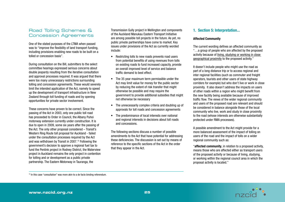# Road Tolling Schemes & Concession Agreements

One of the stated purposes of the LTMA when passed was to "improve the flexibility of land transport funding, including provisions enabling new roads to be built on a tolled or concession basis".

During consultation on the Bill, submitters to the select committee hearings expressed serious concerns about double jeopardy resulting from the iterative consultation and approval processes required. It was argued that there were too many unnecessary restrictions surrounding tolling and concession agreements. These would severely limit the intended application of the Act, namely to speed up the development of transport infrastructure in New Zealand through toll funding of roads and by opening opportunities for private sector involvement.

These concerns have proven to be correct. Since the passing of the Act in 2003, only one public toll road has proceeded to Order in Council, the Albany Puhoi motorway extension currently under construction. It is due to open in 2009, some six years after the passing of the Act. The only other proposal considered – Transit's Western Ring Route toll proposal for Auckland - failed under the consultation processes required by the Act and was withdrawn by Transit in 2007.15 Following the government's decision to approve a regional fuel tax to fund the Penlink project in Rodney District, the Waterview project in Auckland remains the only project in contention for tolling and or development as a public private partnership. The Eastern Motorway in Tauranga, the

Transmission Gully project in Wellington and components of the Auckland Manukau Eastern Transport Initiative are among possible toll projects in the future. As yet, no public private partnerships have come to market. Key issues under provisions of the Act as currently worded include:

- Restricting tolls to new roads prevents road users from potential benefits of using revenues from tolls on existing roads to fund increased capacity, provide an overall improved level of service and balance traffic demand to best effect.
- The 35 year maximum term permissible under the Act may limit value for money for the public sector by reducing the extent of risk transfer that might otherwise be possible and may require the government to provide additional subsidies that might not otherwise be necessary
- The unnecessarily complex criteria and doubling up of approvals for toll roads and concession agreements
- The predominance of local interests over national and regional interests in decisions about toll roads and concessions.

The following sections discuss a number of possible amendments to the Act that have potential for addressing these deficiencies. The discussion is set out by means of reference to the specific sections of the Act in the order that they appear in the Act.

#### 1. Section 5: Interpretation...

#### Affected Community

The current wording defines an affected community as "…a group of people who are affected by the proposed activity because of living, studying or working in close geographical proximity to the proposed activity."

It doesn't include people who might use the road as part of a long distance trip or to access regional and inter regional facilities (such as commuter and freight operators, tourists and other users of state highway corridors for example) but who don't live or work in close proximity. It also doesn't address the impacts on users of other roads within a region who might benefit from the new facility being available because of improved traffic flow. The views of the wider regional community and users of the proposed road are relevant and should be considered in balance alongside those of the local community who live, work and study in close proximity to the road (whose interests are otherwise substantially protected under RMA processes).

A possible amendment to the Act might provide for a more balanced assessment of the impact of tolling on users of the road and the impact of tolls on a wider regional community such as:

"affected community, in relation to a proposed activity, means those who are affected either as transport users of the proposed activity or because of living, studying, or working within the regional council area in which the proposal activity is located."

<sup>&</sup>lt;sup>15</sup> In this case "consultation" was more akin to a de facto binding referendum.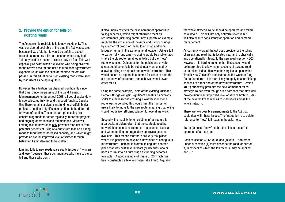#### 2. Provide the option for tolls on existing roads

The Act currently restricts tolls to new roads only. This was considered desirable at the time the Act was passed because it was felt that it would be unfair to expect to road users to pay tolls on roads for which they had "already paid" by means of excise duty on fuel. This was especially relevant when fuel excise was being diverted to the Crown account and used to fund wider government expenditure, as was the case at the time the Act was passed. In this situation tolls on existing roads were seen by road users as being iniquitous.

However, the situation has changed significantly since that time. Since the passing of the Land Transport Management Amendment Act 2008, all petrol excise duty is now allocated fully to land transport funding. Despite this, there remains a significant funding shortfall. Major projects of national significance continue to be deferred for want of funding. Those that are proceeding are constraining funds for other regionally important projects and ongoing operations and maintenance. Moreover, limiting tolls to new roads only prevents road users from potential benefits of using revenues from tolls on existing roads to fund further increased capacity, and which might provide an overall improved level of service through balancing traffic demand to best effect.

Limiting tolls to new roads raise equity issues or "winners and loser" between those communities who have to pay a toll and those who don't.

It also unduly restricts the development of appropriate tolling schemes, which might otherwise meet all requirements (including community support). An example might be the expansion of the Auckland Harbour Bridge by a larger "clip-on", or the building of an additional bridge or tunnel in the same general location. Using a toll to part or fully fund a new crossing would be problematic where the old route remained untolled but the "new" route was tolled. Outcomes for the public and private sector could potentially be substantially enhanced by allowing tolling on both old and new infrastructure. This would ensure an equitable outcome for users of both the old and new infrastructure, and achieve overall lower costs for all.

Using the same example, users of the existing Auckland Harbour Bridge will gain significant benefits if any traffic shifts to a new second crossing. However if only one route was to be tolled this would limit the number of users likely to move to the new route, meaning that tolling would not deliver efficient solution for overall network.

Secondly, the inability to toll existing infrastructure is a particular problem given that the strategic roading network has been constructed on a piecemeal basis as and when funding and regulatory approvals became available. This means that there are very few places where it is possible to develop a new piece of contiguous infrastructure. Instead, it is often linking into another piece that was built several years (or decades) ago or needs to link into a future stage as funding becomes available. (A good example of this is SH20 which has been constructed a few kilometers at a time.) Arguably,

the whole strategic route should be operated and tolled as a whole. This will not only optimize revenue but will also ensure consistency of operation and demand management.

As currently worded the Act does provide for the tolling of an existing road that is located near and is physically and operationally integral to the new road (section 48(2)). However, it is hard to imagine that this section would be interpreted to allow major sections of existing road to be tolled. Indeed this was the very issue upon which Transit New Zealand's proposal to toll the Western Ring Route foundered. It is more likely to apply to short linking sections at either end of the new infrastructure. Section 48 (2) effectively prohibits the development of tolled strategic routes even though such corridors that may well provide significant improved level of service both to users of the new facility as well as to road users across the whole network.

There are two possible amendments to the Act that could deal with these issues. The first option is to delete reference to "new" toll roads in the act… e.g.

46 (1) (a) delete "new" so that the clause reads "or operation of a road; and

Replace section 46 (2) (a) (i) and (ii) with… "An order under subsection (1) must describe the road, or part of it, in respect of which the toll revenue may be applied; and…"

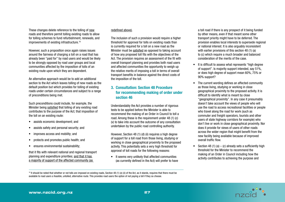These changes delete reference to the tolling of new roads and therefore permit tolling existing roads to allow for tolling schemes to fund refurbishment, renewals, and improvements of existing infrastructure.<sup>16</sup>

However, such a proposition once again raises issues around the fairness of charging a toll on a road that has already been "paid for" by road users and would be likely to be strongly opposed by road user groups and local communities affected by the imposition of tolls of an existing route upon which they are dependent.

An alternative approach would be to add an additional section to the Act which leaves tolling of new roads as the default position but which provides for tolling of existing roads under certain circumstances and subject to a range of preconditions being met.

Such preconditions could include, for example, the Minister being satisfied that tolling of any existing road contributes to the purpose of the Act; that imposition of the toll on an existing route:

- assists economic development; and
- assists safety and personal security; and
- improves access and mobility: and
- protects and promotes public health; and
- ensures environmental sustainability;

that it fits with relevant national and regional transport planning and expenditure priorities; and that it has a majority of support of the affected community (as

#### redefined above).

The inclusion of such a provision would require a higher threshold for approval for tolls on existing roads than is currently required for a toll on a new road as the Minister must be satisfied as opposed to taking account of how any proposed toll fits with the objectives of the Act. The provision requires an assessment of the fit with overall transport planning and provides both road users and affected communities the opportunity to weigh up the relative merits of imposing a toll in terms of overall transport benefits in balance against the direct costs of the imposition of the toll.

#### 3. Consultation: Section 48 Procedure for recommending making of order under section 46

Understandably the Act provides a number of rigorous tests to be applied before the Minister is able to recommend the making of an Order in Council to toll a road. Among these is the requirement under 48 (1) (c) (v) to take into account the outcome of any consultation undertaken by the public road controlling authority.

However, Section 48 (1) (d) (ii) requires a high degree of support for a toll road from those living, studying or working in close geographical proximity to the proposed activity. This potentially sets a very high threshold for approval of toll roads for the following reasons:

• It seems very unlikely that affected communities (as currently defined in the Act) will prefer to have a toll road if there is any prospect of it being funded by other means, even if that meant some other transport priority might have to be deferred. The provision enables local interests to supersede regional or national interest. It is also arguably inconsistent with earlier provisions of this section 48 (1) (a) to (c) which require a much broader and balanced consideration of the merits of the case.

- It is difficult to assess what represents "high degree of support". Is majority support intended, say 51%, or does high degree of support mean 60%, 75% or 90% support?
- The current wording defines an affected community as those living, studying or working in close geographical proximity to the proposed activity. It is difficult to identify what is meant by close "geographical proximity". In any case it presumably doesn't take account the views of people who will use the road to access recreational facilities or people who travel along the road for work (such as commuter and freight operators, tourists and other users of state highway corridors for example) who don't live or work in close geographical proximity. Nor does it provide for views of users of other roads across the wider region that might benefit from the new facility being available because of improved overall traffic flow.
- Section 48 (1) (a) (c) already sets a sufficiently high threshold for the Minister to recommend the making of an Order in Council including how the activity contributes to achieving the purpose and



<sup>&</sup>lt;sup>16</sup> It should be noted that whether or not tolls are imposed on existing roads, Section 48 (1) (e) (ii) of the Act, as it stands, requires that there must be available to road users a feasible, untolled, alternative route. This provides road users the option of not paying a toll if they so choose.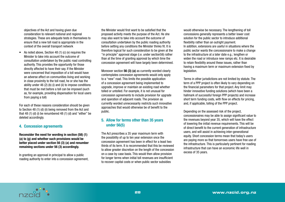objectives of the Act and having given due consideration to relevant national and regional strategies. These are adequate tests in themselves to ensure that a new toll road is appropriate in the context of the overall transport network

• As noted above, Section 48 (1) (c) (v) requires the Minister to take into account the outcome of consultation undertaken by the public road controlling authority. This provides the opportunity for those directly affected to have their say. If the Minister were concerned that imposition of a toll would have an adverse affect on communities living and working in close proximity to the toll road, he or she has the ability under 46 (2) (b) (i) and (ii) to impose conditions that must be met before a toll can be imposed (such as, for example, providing dispensation for local users from paying a toll)

For each of these reasons consideration should be given to Section 48 (1) (d) (ii) being removed from the Act and that 48 (1) (d) (i) be renumbered 48 (1) (d) and "either" be deleted accordingly.

#### 4. Concession agreements

Reconsider the need for wording in section (58) (1) (a) to (g) and whether such provisions would be better placed under section 56 (3) (a) and renumber remaining sections under 56 (3) accordingly.

In granting an approval in principal to allow a public roading authority to enter into a concession agreement, the Minister would first want to be satisfied that the proposed activity meets the purpose of the Act. He she may also want to take into account the outcome of consultation undertaken by the public roading authority before setting any conditions the Minister thinks fit. It is therefore logical for such consideration to be given at the "in principle" approval stage (i.e. under section56) rather than at the time of granting approval by which time the concession agreement will have largely been determined.

Moreover section 56 (3) (a) as currently worded clearly contemplates concession agreements would only apply to a "new" road. This limits the possible application of a concession agreement being implemented to upgrade, improve or maintain an existing road whether tolled or untolled. For example, it is not unusual for concession agreements to include provision for upgrade and operation of adjacent roads. The provision as currently worded unnecessarily restricts such innovative approaches that would otherwise be of benefit to the public.

#### 5. Allow for terms other than 35 years under 56(5)

The Act prescribes a 35 year maximum term with the possibility of up to ten year extension once the concession agreement has been in effect for a least two thirds of its term. It is recommended that this be reviewed to allow greater discretion on the length of the concession on a case by case basis. This would then allow provision for longer terms when initial toll revenues are insufficient to recover capital costs or when public sector subsidies

would otherwise be necessary. The lengthening of toll concessions generally represents a better lower cost solution for the public sector to introduce additional flexibility rather than an outright payment. In addition, extensions are useful in situations where the public sector wants the concessionaire to make a change to the infrastructure at a later date e.g.; lengthen or widen the road or introduce new ramps etc. It is desirable to retain flexibility around these issues, rather than having a maximum term or maximum extension fixed by legislation.

Terms in other jurisdictions are not limited by statute. The term of a PPP project is often likely to vary depending on the financial parameters for that project. Any limit may hinder innovative funding solutions (which have been a hallmark of successful foreign PPP projects) and increase short term funding costs, with flow on effects for pricing, and, if applicable, tolling of the PPP project.

Depending on the assessed risk of the project, concessionaires may be able to assign significant value to the revenues beyond year 35, which will have the effect of lowering the initial revenue requirements. This will be of direct benefit to the current generation of infrastructure users, and will assist in achieving inter-generational equity. Short concession terms mean that today's users are paying more so that tomorrows users have free use of the infrastructure. This is particularly pertinent for roading infrastructure that can have an economic life well in excess of 35 years.

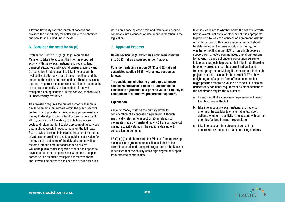Allowing flexibility over the length of concessions provides the opportunity for better value to be obtained and should be allowed under the Act.

#### 6. Consider the need for 56 (6)

Explanation; Section 58 (1) (a) to (g) requires the Minister to take into account the fit of the proposed activity with the relevant national and regional land transport strategies and National Energy Efficiency and Conservation Strategies and to take into account the availability of alternative land transport options and the impact of the activity on those options. These provisions therefore require a balanced consideration of the impacts of the proposed activity in the context of the wider transport planning situation. In this context, section 56(6) is unnecessarily restrictive.

This provision requires the private sector to assume a risk for elements that remain within the public sector's control. It also provides a mixed message: we want your money to develop roading infrastructure that we can't afford, but we want the ability to able to ignore sunk costs and retain the right to develop competing services that might adversely impact demand on the toll road. Such provisions result in increased transfer of risk to the private sector are likely to reduce public sector value for money as at least some of the risk adjustment will be factored into the amount tendered for a project. While the public sector may wish to retain the option to develop other competing services within the transport corridor (such as public transport alternatives to the car), it would be better to consider and provide for such

issues on a case by case basis and include any desired conditions into a concession document, rather than in the legislation.

#### 7. Approval Process

Delete section 58 (1) which has now been inserted into 56 (3) (a) as discussed under 4 above.

Consider replacing section 58 (1) and (2) (a) and associated section 58 (5) with a new section as follows:

"In considering whether to grant approval under section 56, the Minister must be satisfied that a concession agreement can provide value for money in comparison to alternative procurement options".

#### **Explanation**

Value for money must be the primary driver for consideration of a concession agreement. Although specifically referred to in section 25 in relation to payments made by Transfund (now NZ Transport Agency) it is not explicitly stated in the sections dealing with concession agreements.

58 (2) (a) (i) and (ii) prevents the Minister from approving a concession agreement unless it is included in the current national land transport programme or the Minister is satisfied that the activity has a high degree of support from affected communities.

Such issues relate to whether or not the activity is worth having overall, not as to whether or not it is appropriate to procure it by way of a concession agreement. Whether or not to proceed with a concession agreement should be determined on the basis of value for money, not whether or not it is in the NLTP or has a high degree of support from affected communities. One of the reasons for advancing a project under a concession agreement is to enable projects to proceed that might not otherwise be priority projects under the current national land transport programme. Making it a requirement that such projects must be included in the current NLTP or have a high degree of support from affected communities might preclude otherwise valuable projects. It is also an unnecessary additional requirement as other sections of the Act already require the Minister to:

- a. be satisfied that a concession agreement will meet the objectives of the Act
- b. take into account relevant national and regional priorities, the availability of alternative transport options, whether the activity is consistent with current priorities for land transport expenditure
- c. take into account the outcome of consultation undertaken by the public road controlling authority

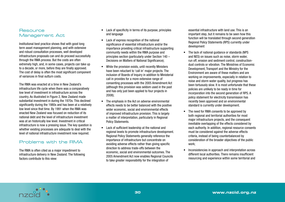#### **Resource** Management Act

Institutional best practice shows that with good long term asset management planning, and with extensive and robust consultation processes, well developed infrastructure proposals can and do proceed successfully through the RMA process. But the costs are often extremely high, and, in some cases, projects can take up to a decade, or more, before they are finally approved. The cost of delay is often the most significant component of variances in final outturn costs.

The RMA was enacted at a time in New Zealand's infrastructure life cycle when there was a comparatively low level of investment in infrastructure across the country. As illustrated in Figure 2, New Zealand made substantial investment in during the 1970s. This declined significantly during the 1980s and has been at a relatively low level since that time. By 1991 when the RMA was enacted New Zealand was focused on reduction of its national debt and the level of infrastructure investment was at an historically low level. Investment in critical infrastructure is now a pressing issue. The key question is whether existing processes are adequate to deal with the level of national infrastructure investment now required.

# Problems with the RMA

The RMA is often cited as a major impediment to infrastructure delivery in New Zealand. The following factors contribute to this view:

- Lack of specificity in terms of its purpose, principles and language
- Lack of express recognition of the national significance of essential infrastructure and/or the importance providing critical infrastructure supporting community needs within the RMA purpose and principles section (particularly under Section 140 – Decisions on Matters of National Significance);
- While the provision exists, until recently Ministers have been reluctant to 'call in' major projects. The inclusion of Boards of Inquiry in addition to Ministerial call in provides for a more extensive range of consenting processes with the 2005 Amendment Act (although this provision was seldom used in the past and has only just been applied to four projects in 2008);
- The emphasis in the Act on adverse environmental effects needs to be better balanced with the positive wider economic, social and environmental effects of improved infrastructure provision. This is largely a matter of interpretation, particularly in Regional Policy Statements.
- Lack of sufficient leadership at the national and regional levels to promote infrastructure development. Regional Policy Statements generally reference the importance of infrastructure but concentrate on avoiding adverse effects rather than giving specific direction to address trade-offs between the economic, social and environmental outcomes. The 2005 Amendment Act now enables Regional Councils to take greater responsibility for the integration of

essential infrastructure with land use. This is an important step, but it remains to be seen how this function will be translated through second generation Regional Policy Statements (RPS) currently under development

- The lack of national quidance or standards (NPS and NES) on issues such as noise, storm water, run off, erosion and sediment control, constructiondust controls or vibration. The Ministries of Economic Development, Transport and the Ministry for the Environment are aware of these matters and are working on improvements, especially in relation to noise and storm water quality, but progress has been tortuously slow. It is most unfortunate that these policies are unlikely to be ready in time for incorporation into the second generation of RPS. A policy statement for electricity transmission has recently been approved and an environmental standard is currently under development.
- The need for RMA consents to be approved by both regional and territorial authorities for most major infrastructure projects, and the consequent inevitable overlapping of the effects considered by each authority. In addition, regional resource consents must be considered against the adverse effects criteria, instead of being counterbalanced by consideration of the broader objectives of the public work;
- Inconsistencies in approach and interpretation across different local authorities. There remains insufficient resourcing and experience within some territorial and

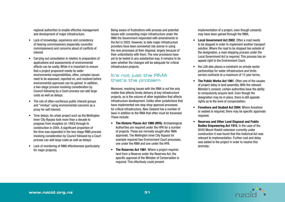regional authorities to enable effective management and development of major infrastructure;

- Lack of knowledge, experience and consistency of hearing commissioners (especially councillor commissioners) and concerns about of conflicts of interest
- • Carrying out consultation in relation to preparation of applications and assessments of environmental effects can be costly. While it is important to ensure that a project proponent meets its wider environmental responsibilities, often, complex issues need to be assessed, reported on, and resolved before environmental approvals can be gained. In addition, a two-stage process involving consideration by Council following by a Court process can add large costs as well as delays;
- The role of often-vociferous public interest groups and "nimbys" using environmental concerns as a proxy for self interest;
- Time delays. An urban project such as the Wellington Inner City Bypass took more than a decade to progress from inception (in 1993) through to construction in 2004. A significant proportion of the time was expended in the two-stage RMA process involving consideration by Council followed by a Court process can add large costs as well as delays;
- • Lack of monitoring of RMA effectiveness (particularly for major projects).

Being aware of frustrations with process and potential issues with consenting major infrastructure under the RMA the Government responded with amendments to the Act in 2005. However, to date major infrastructure providers have been somewhat risk averse in using the new processes at their disposal, largely because of their unfamiliarity with them. The new provisions have yet to be tested in any substantive way. It remains to be seen whether the changes will be adequate for critical infrastructure projects.

## It's not just the RMA that's the problem

Moreover, resolving issues with the RMA is not the only matter that affects timely delivery of key infrastructure projects, so is the volume of other legislation that affects infrastructure development. Unlike other jurisdictions that have implemented one stop shop approval processes for critical infrastructure, New Zealand has a number of laws in addition to the RMA that often must be traversed. These include:

- The Historic Places Act 1989 (HPA). Archaeological Authorities are required under the HPA for a number of projects. These are normally sought after RMA approvals. The Wellington Inner City Bypass for example required two Environment Court processes, one under the RMA and one under the HPA.
- The Reserves Act 1981. Where a project requires land from a Reserve under the Reserves Act, the specific approval of the Minister of Conservation is required. This effectively could prevent

implementation of a project, even though consents may have been gained through the RMA;

- Local Government Act 2002. Often a road needs to be stopped in order to implement another transport solution. Where the road to be stopped lies outside of the designation, a road-stopping process under the Local Government Act is required. This process has an appeal right to the Environment Court;
- the LGA also places a constraint on private sector partnerships for water infrastructure and limits service contracts to a maximum of 15 year terms,
- The Public Works Act 1981. Often one of the causes of project delay is land assembly. With the relevant Minister's consent, certain authorities have the ability to compulsorily acquire land. Even though the designation may be in place, there is still appeals rights as to the level of compensation;
- Foreshore and Seabed Act 2004. Where foreshore or seabed is required, there may be specific approvals required;
- **Reserves and Other Land Disposal and Public** Bodies Empowering Act 1915, In the case of the SH20 Mount Roskill extension currently under construction it was found that this historical Act was relevant to implementation. Further cost and delay was added to the project in order to resolve this anomaly;

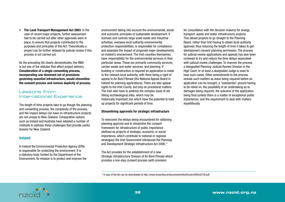• The Land Transport Management Act 2003. In the case of recent major projects, further assessment had to be carried out after other approvals were in place, to ensure that projects contributed to the purposes and principles of this Act. Theoretically a project can be further delayed by judicial review if this process is not carried out.

As the preceding list clearly demonstrates, the RMA is but one of the statutes that affect project delivery. Consideration of a single consenting process, incorporating one dominant set of provisions governing essential infrastructure, would streamline the consent process and remove duplicity of process.

## Lessons from International Experience

The length of time projects take to go though the planning and consenting process, the complexity of the process, and the impact delays can have on infrastructure projects are not unique to New Zealand. Comparative nations such as Ireland and Australia have adopted a number of methods to address these challenges that provide useful lessons for New Zealand.

#### Ireland

In Ireland the Environmental Protection Agency (EPA) is responsible for protecting the environment. It is a statutory body funded by the Department of the Environment. Its mission is to protect and improve the

environment taking into account the environmental, social and economic principles of sustainable development. It licenses and controls large scale waste and industrial activities; oversees local authority environmental protection responsibilities; is responsible for compliance; and assesses the impact of proposed major developments on Ireland's environment. The Irish counties themselves have responsibility for the environmental services in their particular areas. These are primarily community services, certain waste and water services, and planning. If building or construction is required an application is made to the relevant local authority, with there being a right of appeal to An Bord Plenala (the National Appeal Board in Ireland for planning applications). There are also appeal rights to the Irish Courts, but only on procedural matters. The Irish also have to address the complex issue of old Viking archaeological sites, which may be historically important, but which have the potential to hold up projects for significant periods of time.

#### Streamlining approvals for strategic infrastructure

To overcome the delays being encountered for obtaining planning approval and to streamline the consent framework for infrastructure of public importance (defined as projects of strategic, economic or social importance, which contribute to national or regional strategies) the Irish Government introduced the Planning and Development Strategic Infrastructure Act 2006.17

The Act provides for the establishment of a new Strategic Infrastructure Division of An Bord Plenala which provides a one-step consent process (with provision

for consultation with the decision makers) for energy, transport, waste and water infrastructure projects. This allows projects to go straight to the Planning Board, rather than first having to obtain local authority approval, thus reducing the length of time it takes to get development consent planning permission. The process for judicial review applications and appeals has also been reviewed to try and reduce the time delays associated with judicial review challenges. To improve the process a designated Planning Judicial Review Division in the High Court, or at least a designated Judge is used to hear such cases. Other amendments to the process include such matters as leave being required before an application can be brought, a "substantial" ground having to be relied on, the possibility of an undertaking as to damages being required, the outcome of the application being final (unless there is a matter of exceptional public importance), and the requirement to deal with matters expeditiously.

17 A copy of the Act can be downloaded at http://www.oireachtas.ie/documents/bills28/acts/2006/a2706.pdf.

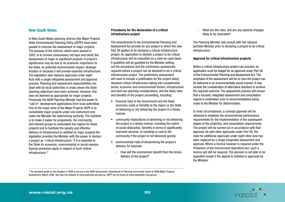#### New South Wales

In New South Wales planning reforms (the Major Projects State Environmental Planning Policy (SEPP)) have been passed to improve the assessment of major projects. The purpose of the reforms, which were passed in 2005, is to remove unnecessary red tape and clarify the assessment of major or significant projects. A project's significance may be due to its economic importance to the State, its potential environmental impact, strategic location or because it will provide essential infrastructure. The legislation also replaces approvals under eight Acts with a single integrated assessment and approval process. Planning and assessment responsibilities are dealt with by local authorities in areas where the State planning objectives have been achieved. However, this was not deemed as appropriate for major projects. Previously the NSW Planning Minister had the power to "call-in" development applications from local authorities. One of the major aims of the Major Projects SEPP is to consolidate major projects under one instrument and make the Minister the determining authority. The intention is to make it easier for proponents, the community, and interest groups to understand the regime for these projects and to facilitate the speedy and effective delivery of infrastructure.In addition to major projects the legislation provides the Minister with the power to declare a project as "critical infrastructure" if it is essential to the State for economic, environmental or social reasons. Special provisions apply in respect of such critical infrastructure.<sup>18</sup>

#### Procedures for the declaration of a critical infrastructure project

The amendments to the Environmental Planning and Assessment Act provide for any project to which the new Part 3A applies to be declared a critical infrastructure project. An application to declare a project to be critical infrastructure will be evaluated on a case-by-case basis. A guideline will be gazetted by the Minister setting out the procedures and the preliminary assessment required before a project can be declared to be a critical infrastructure project. The preliminary assessment will need to include a justification for the project being declared critical infrastructure taking into consideration social, economic and environmental factors, infrastructure and land use planning considerations, and the likely risks and benefits of the project proceeding, including:

- financial risks to the Government and the likely economic costs or benefits to the region or the State of delivering or not delivering the project in a timely manner
- community implications of delivering or not delivering the project in a timely manner, including the extent of social dislocation, benefits in terms of significantly improved services, or hardship or cost to the community if the project is not delivered quickly
- • environmental risks of streamlining the project's delivery, for example:
	- How will the environment benefit from the timely delivery of the project?

- What are the risks, and are any adverse changes likely to be reversible?

The Planning Minister will consult with the relevant portfolio Minister prior to declaring a project to be critical infrastructure.

#### Approval for critical infrastructure projects

Before a critical infrastructure project can proceed, an application must be lodged for an approval under Part 3A of the Environmental Planning and Assessment Act. The emphasis of the assessment will be on how the project can be delivered in an environmentally sound manner. It may include the consideration of alternative solutions to achieve the required outcome. The assessment process will ensure that a focused, integrated assessment and consultation regime is undertaken prior to recommendations being made to the Minister for determination.

In most circumstances, a concept approval will be obtained to establish the environmental performance requirements for the implementation of the subsequent stages of the project(s), and consultation requirements. The project will be carried out in accordance with that approval. As with other approvals under Part 3A, the need for additional approvals under eight other Acts has been replaced by a single integrated assessment and approval. Where a licence however is required under the Protection of the Environment Operations Act, such a licence will still be required. The decision is not able to be appealed except if the appeal is initiated or approved by the Minister.

<sup>18</sup> An excellent quide on the situation in NSW is set out in the NSW Government. Department of Planning Community Guide on NSW Major Projects Assessment, March 2006. See also the website at www.planning.nsw.gov.au. SEPP can be found at www.legislation.nsw.gov.au.

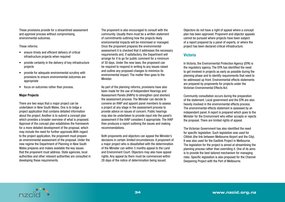These provisions provide for a streamlined assessment and approval process without compromising environmental outcomes.

These reforms:

- ensure timely and efficient delivery of critical infrastructure projects when required
- provide certainty in the delivery of key infrastructure projects
- provide for adequate environmental scrutiny with provisions to ensure environmental outcomes are appropriate
- focus on outcomes rather than process.

#### Major Projects

There are two ways that a major project can be undertaken in New South Wales. One is to lodge a project application that contains detailed information about the project. Another is to submit a concept plan which provides a broader overview of what is proposed. Approval of the concept plan establishes the framework for a more detailed development of the proposal, which may include the need for further approvals.With regard to the project application, the proponent must prepare an environmental assessment of the proposal. Under the new regime the Department of Planning in New South Wales prepares and makes available the key issues that the proponent must address. State agencies, local authorities and other relevant authorities are consulted in developing these requirements.

The proponent is also encouraged to consult with the community. Usually there must be a written statement of commitments outlining how the projects likely environmental impacts will be minimised or managed. Once the proponent prepares the environmental assessment it is checked that it addresses the necessary requirements and, if satisfactory, the Department will arrange for it to go for public comment for a minimum of 30 days. Under the new laws, the proponent can be required to respond in writing to any issues raised and outline any proposed changes to minimize its environmental impact. The matter then goes to the **Minister** 

As part of the planning reforms, provisions have also been made for the use of Independent Hearings and Assessment Panels (IHAPs) to strengthen (and shorten) the assessment process. The Minister can decide to convene an IHAP and appoint panel members to assess a project at any stage in the assessment process to provide advice on issues of concern. Public hearings may also be undertaken to provide input into the panel's assessment if the IHAP considers it appropriate. The IHAP then produces a report outlining the issues and making recommendations.

Both proponents and objectors can appeal the Minister's decisions in certain *limited* circumstances. A proponent of a major project who is dissatisfied with the determination of the Minister can within 3 months appeal to the Land and Environment Court. Objectors may also have appeal rights. Any appeal by them must be commenced within 28 days of the notice of determination being issued.

Objectors do not have a right of appeal where a concept plan has been approved. Proponent and objector appeals cannot be pursued where projects have been subject of a report prepared by a panel of experts, or where the project has been declared critical infrastructure.

#### **Victoria**

In Victoria, the Environmental Protection Agency (EPA) is the regulatory agency. The EPA has identified the need to get involved in projects as early as possible during the planning phase and to identify requirements that need to be addressed up front. Environmental effects statements are prepared by proponents for projects under the Victorian Environmental Effects Act.

Community consultation occurs during the preparation of the statement. Local government and the EPA are also heavily involved in the environmental effects process. The environmental effects statement is assessed by an independent panel. A report is prepared which goes to the Minister for the Environment who either accepts or rejects the proposal. There are limited rights of appeal.

The Victorian Government has also identified the need for specific legislation. Such legislation was used for Citilink (the link between Melbourne Airport and the City). It was also used for the Eastlink Project in Melbourne. The legislation for the project is aimed at streamlining the planning process rather than overriding it. One of its aims is to provide the best tailored mechanism for managing risks. Specific legislation is also proposed for the Channel Deepening Project with the Port of Melbourne.

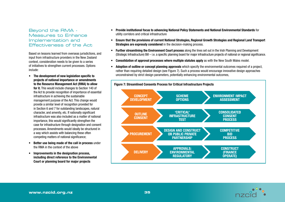## Beyond the RMA - Measures to Enhance Implementation and Effectiveness of the Act

Based on lessons learned from overseas jurisdictions, and input from infrastructure providers in the New Zealand context, consideration needs to be given to a series of initiatives to strengthen current processes. Options include:

- • The development of new legislation specific to projects of national importance or amendments to the Resource Management Act (RMA) to allow for it. This would include changes to Section 140 of the Act to provide recognition of importance of essential infrastructure in achieving the sustainable management purpose of the Act. This change would provide a similar level of recognition provided for in Section 6 and 7 for outstanding landscapes, natural character, and amenity, etc. If nationally significant infrastructure was also included as a matter of national importance, this would significantly strengthen the case for infrastructure through designation and consent processes. Amendments would ideally be structured in a way which assists with balancing these often competing matters of national significance;
- Better use being made of the call in process under the RMA in the context of the above
- Improvements in the designation process. including direct reference to the Environmental Court or planning board for major projects
- • Provide institutional focus to advancing National Policy Statements and National Environmental Standards for utility corridors and critical infrastructure
- • Ensure that the provisions of current National Strategies, Regional Growth Strategies and Regional Land Transport Strategies are expressly considered in the decision-making process.
- Further streamlining the Environment Court process along the lines set out in the Irish Planning and Development (Strategic Infrastructure) Bill – i.e. a specific planning board for major infrastructure projects of national or regional significance.
- Consolidation of approval processes where multiple statutes apply as with the New South Wales model.
- Adoption of outline or concept planning approvals which specify the environmental outcomes required of a project, rather than requiring detailed design (see Figure 7). Such a process would encourage innovative design approaches unconstrained by strict design parameters, potentially enhancing environmental outcomes,



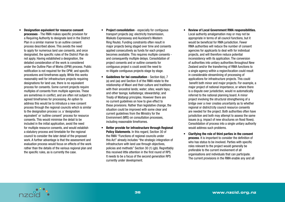- • Designation equivalent for resource consent processes - The RMA makes specific provision for a Requiring Authority to designate land in the District Plan in a similar manner to an outline consent process described above. This avoids the need to apply for numerous land use consents, and once designated, the specific rules of the District Plan do not apply. Having established a designation, the detailed consideration of the work is considered under the Outline Plan of Works (OPW) process. Public notification is not required for the OPW; and specific procedures and timeframes apply. While this works reasonably well for infrastructure projects requiring designations for land use, there is no equivalent process for consents. Some current projects require multiples of consents from multiple agencies. These are sometimes in conflict, and are often not subject to agreed timeframes for processing. An option to address this would be to introduce a new consent process through the regional councils which is similar to the designation process i.e. a 'designation equivalent' or 'outline consent' process for resource consents. This would minimise the detail to be included in the initial application, avoid the need for multiple resource consents, and would establish a statutory process and timetable for the regional council to consider the later detail of the proposed work. A further advantage is that the assessment and evaluation process would focus on effects of the work rather than the details of the various regional plan and the specific rules, as is currently the case.
- **Project consolidation** especially for contiguous transport projects (eg: electricity transmission, Waikato Expressway and Auckland's Western Ring Route). Funding constraints often result in major projects being staged over time and consents applied consecutively as funds for each project becomes available. This requires multiple consents and consequently multiple delays. Consolidation of project consents and or outline consents for contiguous project s could avoid the need to re-litigate contiguous projects stage by stage.
- **Guidelines for Iwi consultation Section 6(e), 7**  (a) and (aa) and Section 8 of the RMA relate to the relationship of Maori and their culture and traditions with their ancestral lands: water: sites: waahi tapu: and other taonga; kaitiatanga; stewardship; and Treaty of Waitangi principles. However there are no current guidelines on how to give effect to these provisions. Rather than legislative change, the situation could be improved with some clear and current guidelines from the Ministry for the Environment (MfE) on consultation processes, including reasonable timeframes.
- • Better provide for infrastructure through Regional Policy Statements. In this regard, Section 30 of the RMA "Functions of regional councils under this Act" already includes "the strategic integration of infrastructure with land use through objectives, policies and methods" Section 30 (1) (gb). Regrettably this received little attention in the first round of RPS. It needs to be a focus of the second generation RPS currently under development.
- **Review of Local Government RMA responsibilities.** Local authority amalgamation may or may not be appropriate in terms of all council functions, but it would be beneficial for RMA jurisdiction. Fewer RMA authorities will reduce the number of consent agencies for applicants to deal with for individual projects, and will therefore reduce potential inconsistency with its application. The conversion of authorities into unitary authorities throughout New Zealand and/or the transferring of RMA functions to a single agency within a region/location could result in considerable streamlining of processing of applications for infrastructure projects. This could benefit both minor and major projects. For example, a major project of national importance, or where there is a dispute over jurisdiction, would re automatically referred to the national planning board. A minor project involving the structural strengthening of a bridge over a river creates uncertainty as to whether regional or district/city council resource consents are needed for the project. Both authorities often have jurisdiction and both may attempt to assess the same issues (e.g. impact of new structures on flood flows). Consolidation of process into a single unitary authority would address such problems.
- • Clarifying the role of third parties in the consent process. It is important to consider the definition of who has status to be involved. Parties with specific roles relevant to the project would generally be preferable to the current involvement of all organisations and individuals that can participate. The current provisions in the RMA enable any and all

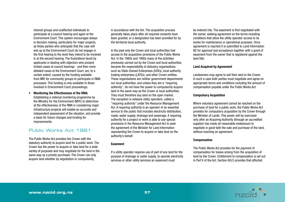interest groups and unaffected individuals to participate at a council hearing and again at the Environment Court. This system encourages delays in decision making, particularly for major projects, as those parties who anticipate that the case will end up at the Environment Court do not engage in the first hearing to the level they intend to be involved in at the second hearing. The frustrations faced by applicants in dealing with objectors who present limited cases at council hearings - and then more detailed cases at the Environment Court, are, to a certain extent, caused by the funding available from MfE for community groups to participate in RMA processes. This funding is only available to those involved in Environment Court proceedings;

• Monitoring the Effectiveness of the RMA. Establishing a national monitoring programme by the Ministry for the Environment (MFE) to determine at the effectiveness of the RMA in considering major infrastructure projects will enable an accurate and independent assessment of the situation, and provide a basis for future changes and funding for improvements;

## Public Works Act 1981

The Public Works Act provides the Crown with the statutory authority to acquire land for a public work. The Crown has the power to acquire or take land for a wide variety of purposes and may negotiate for the land in the same way as a private purchaser. The Crown can only acquire land whether by negotiation or compulsorily,

in accordance with the Act. The acquisition process generally takes place after all required consents have been granted, or a designation has been provided for by the territorial local authority.

In the past only the Crown and local authorities had access to the acquisition provisions of the Public Works Act. In the 1980s and 1990s many of the activities previously carried out by the Crown and local authorities became the responsibility of statutory organisations such as State-Owned Enterprises (SOEs), local authority trading enterprises (LATEs), and other Crown entities. These organisations are neither government departments nor local authorities, and unless they are a "requiring authority", do not have the power to compulsorily acquire land in the same way as the Crown or local authorities. They must therefore buy land on the open market. The exception is network utility operators, called a "requiring authority" under the Resource Management Act. A requiring authority is an operator of an essential service to the public that includes electricity distribution, roads, water supply, drainage and sewerage. A requiring authority for a project or work is able to use special provisions in the Resource Management Act to seek the agreement of the Minister for Land Information representing the Crown to acquire or take land on the authority's behalf.

#### **Easement**

If a utility operator requires use of part of any land for the purpose of drainage or water supply, to operate electricity services or other utility services an easement must

be entered into. The easement is first negotiated with the owner, seeking agreement on the terms including conditions that allow the utility operator access to its works for maintenance or operational purposes. Once agreement is reached it is submitted to Land Information NZ for approval and acceptance together with a grant of easement from the owner that is registered against the land title.

#### Land Acquired by Agreement

Landowners may agree to sell their land to the Crown. In such a case both parties must negotiate and agree on appropriate terms and conditions including the amount of compensation payable under the Public Works Act.

#### Compulsory Acquisition

Where voluntary agreement cannot be reached on the purchase of land for a public work, the Public Works Act provides for compulsory acquisition by the Crown through the Minister of Lands. This power will be exercised only after an Acquiring Authority (through an accredited supplier) has made all reasonable endeavours to negotiate in good faith the sale and purchase of the land, without reaching an agreement.

#### **Compensation**

The Public Works Act provides for the payment of compensation for losses arising from the acquisition of land by the Crown. Entitlement to compensation is set out in Part V of the Act. Section 60(1) provides that affected

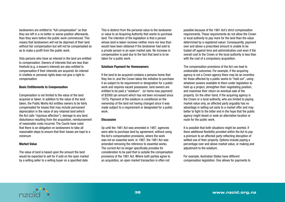landowners are entitled to "full compensation" so that they are left in a no better or worse position afterwards, than they were before the public work commenced. This means that landowners will not be deprived of their land without fair compensation but will not be compensated so as to make a profit from the public work.

Only persons who have an interest in the land are entitled to compensation. Owners of interests that are less than freehold (e.g. a lessee's interest) are also entitled to compensation if their interests are acquired. An interest in chattels or personal rights does not give a right to compensation.

#### Basic Entitlements to Compensation

Compensation is not limited to the value of the land acquired or taken. In addition to the value of the land taken, the Public Works Act entitles owners to be fairly compensated for losses that may include permanent depreciation in the value of any retained land (which the Act calls "injurious affection"); damage to any land; disturbance resulting from the acquisition, reimbursement of reasonable costs incurred. The Courts have ruled that there is an obligation on landowners to take all reasonable steps to ensure that their losses are kept to a minimum

#### Market Value

The value of land is based upon the amount the land would be expected to sell for if sold on the open market by a willing seller to a willing buyer on a specified date.

This is distinct from the personal value to the landowner or value to an Acquiring Authority that wants to purchase land. The intention of the legislation is that a person whose land is taken receives neither more nor less than would have been obtained if the landowner had sold to a private person in an open market sale. No increase in compensation is paid due to the fact that land is to be taken for a public work.

#### Solatium Payment for Homeowners

If the land to be acquired contains a persons home that they live in, and the Crown takes the initiative to purchase it as subject to its requirement or designation for a public work and requires vacant possession, land owners are entitled to be paid a "solatium". (or home-loss payment) of \$2000 (an amount which has not been increased since 1975). Payment of the solatium is conditional on the ownership of the land not having changed since it was made subject to a requirement or designated for a public work.

#### **Discussion**

Up until the 1981 Act was amended in 1987, agencies were able to purchase land by agreement, without using the Act's compensation provisions, where the work was not an essential work. In 1987, the 1981 Act was amended removing the reference to essential works. The current Act no longer specifically provides for consideration to be paid that is outside the compensation provisions of the 1981 Act. Where both parties agree to an acquisition, an open market transaction is often not

possible because of the 1981 Act's strict compensation requirements. These requirements do not allow the Crown or local authority to pay more for the land than the value determined by a registered valuer. Consequently, payment over and above a prescribed amount is unable to be traded off against time and administrative cost even if the overall cost to the Crown or the local authority is less than with the cost of a compulsory acquisition.

The compensation provisions of the Act can lead to undesirable outcomes. For example, if the acquiring agency is not a Crown agency there may be an incentive for those affected by a public works to "hold out", using whatever powers available to them under legislation to hold up a project, strengthen their negotiating position, and maximise their return on eventual sale of the property. On the other hand, if the acquiring agency is the Crown or a local authority, who are limited to paying market value only, an affected party arguably has no advantage in selling out early to a market offer and may better to fight to the bitter end in the hope that the public agency might desist or seek an alternative location or route for the public work.

It is possible that both situations might be averted, if there additional flexibility provided within the Act to pay a premium to an affected party reflecting disruption of settled use of their property. Options include paying a percentage over and above market value, or making and adjustment to the solatium.

For example, Australian States have different compensation legislation. One allows for payments to

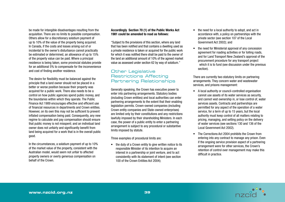be made for intangible disadvantages resulting from the acquisition. There are no limits to possible compensation. Others allow for a discretionary solatium payment of up to 10% of the value of the property being acquired. In Canada, if the costs and losses arising out of or incidental to the owner's disturbance cannot practically be estimated or determined, an allowance of up to 15% of the property value can be paid. Where a principal residence is being taken, some provincial statutes provide for an additional 5% to compensate for the inconvenience and cost of finding another residence.

The desire for flexibility must be balanced against the principle that a land owner should not be placed in a better or worse position because their property was acquired for a public work. There also needs to be a control on how public agencies spend public money, and the boundaries within which they operate. The Public Finance Act 1989 encourages effective and efficient use of financial resources in departments and Crown entities. However, on its own this may not be sufficient to prevent inflated compensation being paid. Consequently, any new regime to calculate and pay compensation should ensure that public money is not misspent; and an individual land owner does not unfairly and significantly benefit from land being acquired for a work that is in the overall public good.

In the circumstances, a solatium payment of up to 10% of the market value of the property, consistent with the Australian model, would seem not unfair to affected property owners or overly generous compensation on behalf of the Crown.

#### Accordingly Section 70 (1) of the Public Works Act 1981 could be amended to read as follows:

"Subject to the provisions of this section, where any land that has been notified and that contains a dwelling used as a private residence is taken or acquired for the public work for which it was notified there shall be paid to the owner of the land an additional amount of 10% of the agreed market value as assessed under section 62 by way of solatium."

## Other Legislative Restrictions Affecting Partnering Relationships

Generally speaking, the Crown has executive power to enter into partnering arrangements. Statutory bodies (including Crown entities) and local authorities can enter partnering arrangements to the extent that their enabling legislation permits. Crown-owned companies (including Crown entity companies and State-owned enterprises) are limited only by their constitutions and any restrictions lawfully imposed by their shareholding Ministers. In each case, the power of a public entity to enter a partnering arrangement is subject to any procedural or substantive limits imposed by statute.

Three examples of procedural limits are:

• the duty of a Crown entity to give written notice to its responsible Minister of its intention to acquire an interest in a partnership or joint venture, and to act consistently with its statement of intent (see section 100 of the Crown Entities Act 2004);

- the need for a local authority to adopt, and act in accordance with, a policy on partnerships with the private sector (see section 107 of the Local Government Act 2002); and
- the need for Ministerial approval of any concession agreement for roading activities or for tolling roads, and for Land Transport New Zealand's approval of the procurement procedure for any transport project which it is to fund (see discussion under the previous section).

There are currently two statutory limits on partnering arrangements. They concern water and wastewater services, and prisons management:

- • A local authority or council-controlled organisation cannot use assets of its water services as security, and cannot vest ownership in, or lose control of, water services assets. Contracts and partnerships are permitted for any aspect of the operation of a water service, for a term of up to 15 years, but the local authority must keep control of all matters relating to pricing, managing, and setting policy on the delivery of water services (see sections 130 and 136 of the Local Government Act 2002).
- The Corrections Act 2004 prohibits the Crown from entering into any contract to manage any prison. Even if the ongoing service provision aspect of a partnering arrangement were for other services, the Crown's retention of control over management may make this difficult in practice.

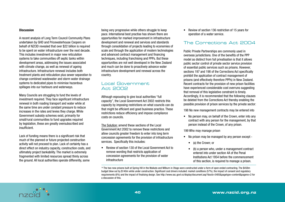#### **Discussion**

A recent analysis of Long Term Council Community Plans undertaken by GHD and Pricewaterhouse Coopers on behalf of NZCID revealed that over \$22 billion is required to be spent on water infrastructure over the next decade. This includes investment in major new reticulation systems to take communities off septic tanks within development areas, addressing the issues associated with climate change, as well as renewal of ageing infrastructure. Infrastructure renewal includes both treatment plants and reticulation plus sewer separation to change combined wastewater and storm water drainage systems to dedicated pipes to minimise hazardous spillages into our harbours and waterways.

Many Councils are struggling to fund the levels of investment required. They face significant infrastructure renewal in both roading transport and water while at the same time are under constant pressure to reduce increases in the rates and levies they charge. While Government subsidy schemes exist, primarily for small/rural communities to fund upgrades required by legislation, these are greatly oversubscribed and insufficient.

Lack of funding means there is a significant risk that much of the planned or future projected construction activity will not proceed to plan. Lack of certainty has a direct effect on industry capacity, construction costs, and ultimately project bankability. The market is extremely fragmented with limited resources spread thinly across the ground. All local authorities operate differently, some

being very progressive while others struggle to keep pace. International best practise has shown there are opportunities for marked improvement in infrastructure development and renewal and services and standards through consolidation of projects leading to economies of scale and through the application of modern technologies and advanced contract management and financing techniques, including franchising and PPPs. But these opportunities are not well developed in the New Zealand and much can be done to proactively advance water infrastructure development and renewal across the country.

#### Local Government Act 2002

Although espousing to give local authorities "full capacity", the Local Government Act 2002 restricts this capacity by imposing restrictions on what councils can do that might be efficient and good business practice. These restrictions reduce efficiency and impose compliance costs on councils.

The Solution: amend these sections of the Local Government Act 2002 to remove these restrictions and allow councils greater freedom to enter into long term concession agreements for the provision of infrastructure services. Specifically this includes:

• Review of section 130 of the Local Government Act to remove wording that restricts application of concession agreements for the provision of water infrastructure

• Review of section 136 restriction of 15 years for operation of a water service.

# The Corrections Act 2004

Public Private Partnerships are commonly used in overseas jurisdictions. One of the benefits of the PPP model as distinct from full privatisation is that it allows public sector control of private sector service provision of essential public services such as prisons. However, sections 197 and 198 of the Corrections Act specifically prohibit the application of contract management of prisons (and effectively therefore PPPs) in New Zealand. Recent contracts for the provision of new prison facilities have experienced considerable cost overruns suggesting that removal of this legislative constraint is timely. Accordingly, it is recommended that the following clauses be deleted from the Corrections Act thereby enabling the possible provision of prison services by the private sector:

198 No new management contracts may be entered into

• No person may, on behalf of the Crown, enter into any contract with any person for the management, by that person instead of the Crown, of any prison.

199 Who may manage prison

- No prison may be managed by any person except -
	- (a) the Crown: or
	- (b) a person who, under a management contract entered into under section 4A of the Penal Institutions Act 1954 before the commencement of this section, is required to manage a prison.



<sup>19</sup> The two new prisons built at Spring Hill in the Waikato and Milburn in Otago were constructed under a form of open ended contracting. The \$458m budget blew out by \$140m while under construction. Significant cost drivers included: market conditions (57%), the impact of consent and regulatory requirements (6%) and the impact of finalising design. See http://www.ssc.govt.nz/display/document.asp?docid=5485&pagetype=content&pageno=2 for a discussion of this.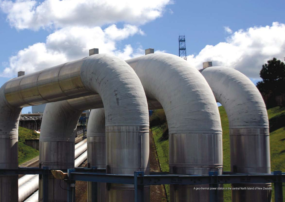